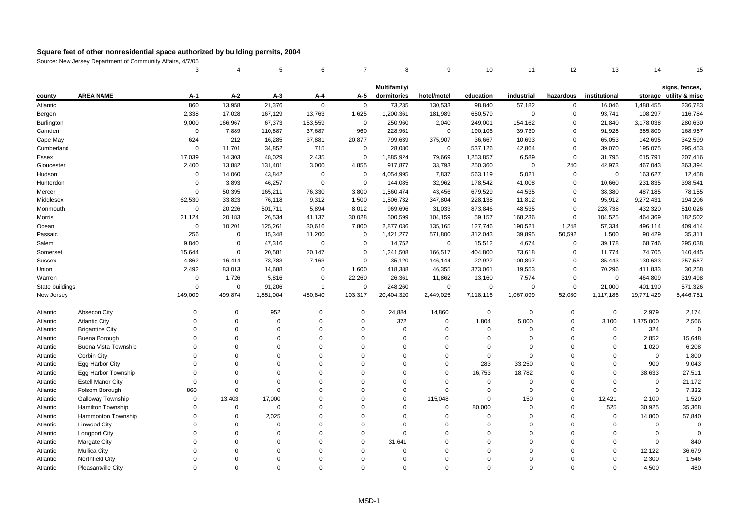|                   |                          | 3           |             | 5           | 6              | $\overline{7}$ | 8            | 9           | 10          | 11           | 12          | 13            | 14          | 15                     |
|-------------------|--------------------------|-------------|-------------|-------------|----------------|----------------|--------------|-------------|-------------|--------------|-------------|---------------|-------------|------------------------|
|                   |                          |             |             |             |                |                | Multifamily/ |             |             |              |             |               |             | signs, fences,         |
| county            | <b>AREA NAME</b>         | A-1         | $A-2$       | $A-3$       | A-4            | A-5            | dormitories  | hotel/motel | education   | industrial   | hazardous   | institutional |             | storage utility & misc |
| Atlantic          |                          | 860         | 13,958      | 21,376      | $\mathbf 0$    | $\mathbf 0$    | 73,235       | 130,533     | 98,840      | 57,182       | 0           | 16,046        | 1,488,455   | 236,783                |
| Bergen            |                          | 2,338       | 17,028      | 167,129     | 13,763         | 1,625          | 1,200,361    | 181,989     | 650,579     | $\mathbf{0}$ | $\Omega$    | 93,741        | 108,297     | 116,784                |
| <b>Burlington</b> |                          | 9,000       | 166,967     | 67,373      | 153,559        | $\mathbf 0$    | 250,960      | 2,040       | 249,001     | 154,162      | 0           | 21,840        | 3,178,038   | 280,630                |
| Camden            |                          | $\mathsf 0$ | 7,889       | 110,887     | 37,687         | 960            | 228,961      | $\mathsf 0$ | 190,106     | 39,730       | $\Omega$    | 91,928        | 385,809     | 168,957                |
| Cape May          |                          | 624         | 212         | 16,285      | 37,881         | 20,877         | 799,639      | 375,907     | 36,667      | 10,693       | $\Omega$    | 65,053        | 142,695     | 342,599                |
| Cumberland        |                          | $\mathsf 0$ | 11,701      | 34,852      | 715            | $\mathbf 0$    | 28,080       | $\mathbf 0$ | 537,126     | 42,864       | $\Omega$    | 39,070        | 195,075     | 295,453                |
| Essex             |                          | 17,039      | 14,303      | 48,029      | 2,435          | $\mathbf 0$    | 1,885,924    | 79,669      | 1,253,857   | 6,589        | $\Omega$    | 31,795        | 615,791     | 207,416                |
| Gloucester        |                          | 2,400       | 13,882      | 131,401     | 3,000          | 4,855          | 917,877      | 33,793      | 250,360     | $\Omega$     | 240         | 42,973        | 467,043     | 363,394                |
| Hudson            |                          | $\Omega$    | 14,060      | 43,842      | $\mathbf 0$    | $\mathbf 0$    | 4,054,995    | 7,837       | 563,119     | 5,021        | 0           | 0             | 163,627     | 12,458                 |
| Hunterdon         |                          | $\Omega$    | 3,893       | 46,257      | $\overline{0}$ | $\mathbf 0$    | 144,085      | 32,962      | 178,542     | 41,008       | $\mathbf 0$ | 10,660        | 231,835     | 398,541                |
| Mercer            |                          | $\mathbf 0$ | 50,395      | 165,211     | 76,330         | 3,800          | 1,560,474    | 43,456      | 679,529     | 44,535       | $\Omega$    | 38,380        | 487,185     | 78,155                 |
| Middlesex         |                          | 62,530      | 33,823      | 76,118      | 9,312          | 1,500          | 1,506,732    | 347,804     | 228,138     | 11,812       | $\Omega$    | 95,912        | 9,272,431   | 194,206                |
| Monmouth          |                          | $\mathsf 0$ | 20,226      | 501,711     | 5,894          | 8,012          | 969,696      | 31,033      | 873,846     | 48,535       | $\mathbf 0$ | 228,738       | 432,320     | 510,026                |
| Morris            |                          | 21,124      | 20,183      | 26,534      | 41,137         | 30,028         | 500,599      | 104,159     | 59,157      | 168,236      | $\Omega$    | 104,525       | 464,369     | 182,502                |
| Ocean             |                          | $\mathbf 0$ | 10,201      | 125,261     | 30,616         | 7,800          | 2,877,036    | 135,165     | 127,746     | 190,521      | 1,248       | 57,334        | 496,114     | 409,414                |
| Passaic           |                          | 256         | $\mathbf 0$ | 15,348      | 11,200         | $\mathbf 0$    | 1,421,277    | 571,800     | 312,043     | 39,895       | 50,592      | 1,500         | 90,429      | 35,311                 |
| Salem             |                          | 9,840       | $\mathbf 0$ | 47,316      | $\mathbf 0$    | $\mathbf 0$    | 14,752       | $\mathsf 0$ | 15,512      | 4,674        | $\mathbf 0$ | 39,178        | 68,746      | 295,038                |
| Somerset          |                          | 15,644      | $\mathbf 0$ | 20,581      | 20,147         | $\mathbf 0$    | 1,241,508    | 166,517     | 404,800     | 73,618       | $\mathbf 0$ | 11,774        | 74,705      | 140,445                |
| <b>Sussex</b>     |                          | 4,862       | 16,414      | 73,783      | 7,163          | $\mathbf 0$    | 35,120       | 146,144     | 22,927      | 100,897      | $\Omega$    | 35,443        | 130,633     | 257,557                |
| Union             |                          | 2,492       | 83,013      | 14,688      | $\overline{0}$ | 1,600          | 418,388      | 46,355      | 373,061     | 19,553       | $\Omega$    | 70,296        | 411,833     | 30,258                 |
| Warren            |                          | $\mathsf 0$ | 1,726       | 5,816       | $\overline{0}$ | 22,260         | 26,361       | 11,862      | 13,160      | 7,574        | $\mathbf 0$ | $\mathbf 0$   | 464,809     | 319,498                |
| State buildings   |                          | $\Omega$    | $\mathbf 0$ | 91,206      | $\overline{1}$ | $\mathbf 0$    | 248,260      | $\mathsf 0$ | $\mathbf 0$ | $\Omega$     | $\Omega$    | 21,000        | 401,190     | 571,326                |
| New Jersey        |                          | 149,009     | 499,874     | 1,851,004   | 450,840        | 103,317        | 20,404,320   | 2,449,025   | 7,118,116   | 1,067,099    | 52,080      | 1,117,186     | 19,771,429  | 5,446,751              |
|                   |                          |             |             |             |                |                |              |             |             |              |             |               |             |                        |
| Atlantic          | Absecon City             | $\Omega$    | $\Omega$    | 952         | $\Omega$       | $\pmb{0}$      | 24,884       | 14,860      | 0           | $\pmb{0}$    | $\Omega$    | $\mathbf 0$   | 2,979       | 2,174                  |
| Atlantic          | <b>Atlantic City</b>     | $\Omega$    | $\Omega$    | $\mathbf 0$ | $\Omega$       | $\mathbf 0$    | 372          | $\mathbf 0$ | 1,804       | 5,000        | $\Omega$    | 3,100         | 1,375,000   | 2,566                  |
| Atlantic          | <b>Brigantine City</b>   | $\mathbf 0$ | $\Omega$    | $\Omega$    | $\Omega$       | $\mathbf 0$    | $\Omega$     | $\mathbf 0$ | $\mathbf 0$ | $\mathbf 0$  | $\Omega$    | $\mathsf 0$   | 324         | $\mathbf 0$            |
| Atlantic          | Buena Borough            | $\Omega$    | $\Omega$    | $\Omega$    | $\Omega$       | $\mathbf 0$    | $\Omega$     | $\Omega$    | $\Omega$    | $\Omega$     | $\Omega$    | $\Omega$      | 2,852       | 15,648                 |
| Atlantic          | Buena Vista Township     | $\Omega$    | $\Omega$    | $\Omega$    | $\Omega$       | $\mathbf 0$    | $\Omega$     | $\Omega$    | $\Omega$    | $\Omega$     | $\Omega$    | $\Omega$      | 1,020       | 6,208                  |
| Atlantic          | Corbin City              | $\Omega$    | $\Omega$    | $\Omega$    | $\mathbf 0$    | $\mathbf 0$    | $\Omega$     | $\Omega$    | $\mathbf 0$ | $\Omega$     | $\Omega$    | $\Omega$      | $\Omega$    | 1,800                  |
| Atlantic          | Egg Harbor City          | $\Omega$    | $\Omega$    | $\Omega$    | $\Omega$       | $\mathbf 0$    | $\Omega$     | $\Omega$    | 283         | 33,250       | $\Omega$    | $\Omega$      | 900         | 9,043                  |
| Atlantic          | Egg Harbor Township      | $\Omega$    | $\Omega$    | $\Omega$    | $\Omega$       | $\mathbf 0$    | $\Omega$     | $\Omega$    | 16,753      | 18,782       | $\Omega$    | $\Omega$      | 38,633      | 27,511                 |
| Atlantic          | <b>Estell Manor City</b> | $\mathbf 0$ | $\Omega$    | $\Omega$    | $\Omega$       | $\mathbf 0$    | $\Omega$     | $\mathbf 0$ | $\mathbf 0$ | $\mathbf 0$  | $\Omega$    | $\Omega$      | $\mathbf 0$ | 21,172                 |
| Atlantic          | Folsom Borough           | 860         | $\Omega$    | $\Omega$    | $\Omega$       | $\mathbf 0$    | $\Omega$     | $\Omega$    | $\mathbf 0$ | $\Omega$     | $\Omega$    | $\Omega$      | $\mathbf 0$ | 7,332                  |
| Atlantic          | Galloway Township        | $\Omega$    | 13,403      | 17,000      | $\Omega$       | $\mathbf 0$    | $\Omega$     | 115,048     | $\Omega$    | 150          | $\Omega$    | 12,421        | 2,100       | 1,520                  |
| Atlantic          | Hamilton Township        | $\Omega$    | $\mathbf 0$ | $\mathbf 0$ | $\Omega$       | $\mathbf 0$    | $\Omega$     | $\mathbf 0$ | 80,000      | $\mathbf 0$  | $\Omega$    | 525           | 30,925      | 35,368                 |
| Atlantic          | Hammonton Township       | $\Omega$    | $\Omega$    | 2,025       | $\Omega$       | $\mathbf 0$    | $\Omega$     | $\Omega$    | $\mathbf 0$ | $\Omega$     | $\Omega$    | $\mathbf 0$   | 14,800      | 57,840                 |
| Atlantic          | Linwood City             | $\Omega$    | $\Omega$    | $\Omega$    | $\Omega$       | $\mathbf 0$    | $\Omega$     | $\Omega$    | $\Omega$    | $\Omega$     | $\Omega$    | $\Omega$      | $\mathbf 0$ | $\Omega$               |
| Atlantic          | <b>Longport City</b>     | $\Omega$    | $\Omega$    | $\Omega$    | $\Omega$       | $\mathbf 0$    | $\Omega$     | $\Omega$    | $\mathbf 0$ | $\mathbf 0$  | $\Omega$    | $\Omega$      | $\mathbf 0$ | $\mathbf 0$            |
| Atlantic          | <b>Margate City</b>      | $\Omega$    | $\Omega$    | $\Omega$    | $\Omega$       | $\mathbf 0$    | 31.641       | $\Omega$    | $\Omega$    | $\Omega$     | $\Omega$    | $\Omega$      | $\mathbf 0$ | 840                    |
| Atlantic          | <b>Mullica City</b>      | $\Omega$    | $\Omega$    | $\Omega$    | $\Omega$       | $\mathbf 0$    | $\Omega$     | $\Omega$    | $\Omega$    | $\Omega$     | $\Omega$    | $\Omega$      | 12,122      | 36,679                 |
| Atlantic          | Northfield City          | $\Omega$    | $\Omega$    | $\Omega$    | $\Omega$       | $\mathbf 0$    | $\Omega$     | $\Omega$    | $\Omega$    | $\Omega$     | $\Omega$    | $\Omega$      | 2,300       | 1,546                  |
| Atlantic          | Pleasantville City       | $\Omega$    | $\Omega$    | $\Omega$    | $\Omega$       | $\Omega$       | $\Omega$     | $\Omega$    | $\Omega$    | $\Omega$     | $\Omega$    | $\Omega$      | 4.500       | 480                    |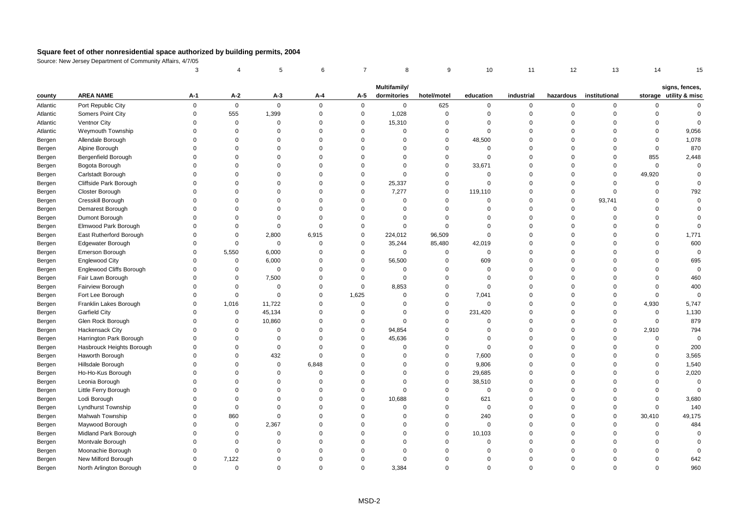|          |                           | 3           |                     | 5           | 6           | $\overline{7}$ | 8            | 9           | 10             | 11          | 12          | 13            | 14          | 15                     |
|----------|---------------------------|-------------|---------------------|-------------|-------------|----------------|--------------|-------------|----------------|-------------|-------------|---------------|-------------|------------------------|
|          |                           |             |                     |             |             |                | Multifamily/ |             |                |             |             |               |             | signs, fences,         |
| county   | <b>AREA NAME</b>          | A-1         | A-2                 | $A-3$       | A-4         | A-5            | dormitories  | hotel/motel | education      | industrial  | hazardous   | institutional |             | storage utility & misc |
| Atlantic | Port Republic City        | $\mathbf 0$ | $\mathsf{O}\xspace$ | $\mathbf 0$ | $\mathbf 0$ | 0              | $\mathbf 0$  | 625         | $\mathbf 0$    | 0           | $\mathbf 0$ | 0             | 0           | $\Omega$               |
| Atlantic | Somers Point City         | $\mathbf 0$ | 555                 | 1,399       | $\mathbf 0$ | $\mathsf 0$    | 1,028        | $\mathbf 0$ | $\mathbf 0$    | $\mathbf 0$ | $\mathbf 0$ | $\mathbf 0$   | $\mathbf 0$ | $\Omega$               |
| Atlantic | Ventnor City              | $\Omega$    | $\mathsf 0$         | $\Omega$    | $\Omega$    | $\mathbf 0$    | 15,310       | $\Omega$    | $\mathbf{0}$   | $\Omega$    | $\mathbf 0$ | $\Omega$      | $\Omega$    | $\Omega$               |
| Atlantic | Weymouth Township         | $\Omega$    | 0                   | $\Omega$    | $\Omega$    | $\mathbf 0$    | $\Omega$     | $\Omega$    | $\Omega$       | $\Omega$    | $\Omega$    | $\Omega$      | $\Omega$    | 9,056                  |
| Bergen   | Allendale Borough         | $\Omega$    | $\Omega$            | $\Omega$    | $\Omega$    | $\Omega$       | $\Omega$     | $\Omega$    | 48,500         | $\Omega$    | $\Omega$    | $\Omega$      | $\Omega$    | 1,078                  |
| Bergen   | Alpine Borough            | $\Omega$    | $\mathbf 0$         | $\Omega$    | $\Omega$    | $\Omega$       | $\Omega$     | $\Omega$    | $\mathbf 0$    | $\Omega$    | $\Omega$    | $\Omega$      | $\mathbf 0$ | 870                    |
| Bergen   | Bergenfield Borough       | $\Omega$    | $\Omega$            | $\Omega$    | $\Omega$    | $\Omega$       | $\Omega$     | $\Omega$    | $\mathbf{0}$   | $\Omega$    | $\Omega$    | $\Omega$      | 855         | 2,448                  |
| Bergen   | Bogota Borough            | $\Omega$    | $\Omega$            | $\Omega$    | $\Omega$    | $\Omega$       | $\mathbf 0$  | $\Omega$    | 33,671         | $\Omega$    | $\Omega$    | $\Omega$      | $\mathbf 0$ | $\Omega$               |
| Bergen   | Carlstadt Borough         | $\Omega$    | $\Omega$            | $\Omega$    | $\Omega$    | $\mathbf 0$    | $\Omega$     | $\Omega$    | $\mathbf 0$    | $\Omega$    | $\Omega$    | $\mathbf 0$   | 49,920      | $\Omega$               |
| Bergen   | Cliffside Park Borough    | $\Omega$    | $\Omega$            | $\Omega$    | $\Omega$    | $\Omega$       | 25,337       | $\Omega$    | $\mathbf 0$    | $\Omega$    | $\Omega$    | $\Omega$      | 0           | $\Omega$               |
| Bergen   | Closter Borough           | $\Omega$    | $\Omega$            | $\Omega$    | $\Omega$    | $\mathbf 0$    | 7,277        | $\mathbf 0$ | 119,110        | $\Omega$    | $\mathbf 0$ | $\Omega$      | $\mathbf 0$ | 792                    |
| Bergen   | Cresskill Borough         | $\Omega$    | $\Omega$            | $\Omega$    | $\Omega$    | $\mathbf 0$    | $\Omega$     | $\Omega$    | $\overline{0}$ | $\Omega$    | $\mathbf 0$ | 93,741        | $\Omega$    | $\Omega$               |
| Bergen   | Demarest Borough          | $\Omega$    | $\Omega$            | $\Omega$    | $\Omega$    | $\Omega$       | $\Omega$     | $\Omega$    | $\Omega$       | $\Omega$    | $\mathsf 0$ | $\Omega$      | $\Omega$    | $\Omega$               |
| Bergen   | Dumont Borough            | $\Omega$    | $\Omega$            | $\Omega$    | $\Omega$    | $\Omega$       | $\Omega$     | $\Omega$    | $\Omega$       | $\Omega$    | $\Omega$    | $\Omega$      | $\Omega$    | $\Omega$               |
| Bergen   | Elmwood Park Borough      | $\Omega$    | $\Omega$            | $\Omega$    | $\Omega$    | $\Omega$       | $\Omega$     | $\Omega$    | $\Omega$       | $\Omega$    | $\Omega$    | $\Omega$      | $\mathbf 0$ | $\Omega$               |
| Bergen   | East Rutherford Borough   | $\Omega$    | $\mathsf 0$         | 2,800       | 6,915       | $\mathbf 0$    | 224,012      | 96,509      | $\mathbf{0}$   | $\Omega$    | $\Omega$    | $\Omega$      | 0           | 1,771                  |
| Bergen   | Edgewater Borough         | $\Omega$    | $\mathsf 0$         | $\mathsf 0$ | $\mathbf 0$ | $\mathbf 0$    | 35,244       | 85,480      | 42,019         | $\Omega$    | $\mathbf 0$ | $\Omega$      | $\Omega$    | 600                    |
| Bergen   | Emerson Borough           | $\Omega$    | 5,550               | 6,000       | $\Omega$    | $\mathbf 0$    | $\mathbf 0$  | $\Omega$    | $\mathbf{0}$   | $\Omega$    | $\Omega$    | $\Omega$      | $\Omega$    | $\Omega$               |
| Bergen   | <b>Englewood City</b>     | $\Omega$    | $\mathsf 0$         | 6,000       | $\Omega$    | $\mathbf 0$    | 56,500       | $\Omega$    | 609            | $\Omega$    | $\Omega$    | $\Omega$      | $\Omega$    | 695                    |
| Bergen   | Englewood Cliffs Borough  | $\Omega$    | $\mathsf 0$         | $\mathbf 0$ | $\Omega$    | $\mathbf 0$    | $\mathbf 0$  | $\Omega$    | $\mathbf{0}$   | $\Omega$    | $\Omega$    | $\Omega$      | $\Omega$    | $\Omega$               |
| Bergen   | Fair Lawn Borough         | $\Omega$    | $\mathbf 0$         | 7,500       | $\Omega$    | $\mathbf 0$    | $\mathbf 0$  | $\mathbf 0$ | $\mathbf{0}$   | $\Omega$    | $\Omega$    | $\Omega$      | $\Omega$    | 460                    |
| Bergen   | Fairview Borough          | $\Omega$    | $\mathsf 0$         | $\mathbf 0$ | $\Omega$    | $\mathbf 0$    | 8,853        | $\Omega$    | $\mathbf 0$    | $\Omega$    | $\Omega$    | $\Omega$      | $\Omega$    | 400                    |
| Bergen   | Fort Lee Borough          | $\Omega$    | $\mathsf 0$         | $\mathbf 0$ | $\Omega$    | 1,625          | $\Omega$     | $\Omega$    | 7,041          | $\Omega$    | $\Omega$    | $\Omega$      | $\mathbf 0$ | $\Omega$               |
| Bergen   | Franklin Lakes Borough    | $\Omega$    | 1,016               | 11,722      | $\mathbf 0$ | $\mathsf 0$    | $\Omega$     | $\Omega$    | $\mathbf 0$    | $\Omega$    | $\mathbf 0$ | $\mathbf 0$   | 4,930       | 5,747                  |
| Bergen   | <b>Garfield City</b>      | $\Omega$    | 0                   | 45,134      | $\Omega$    | $\Omega$       | $\Omega$     | $\Omega$    | 231,420        | $\Omega$    | $\Omega$    | $\Omega$      | $\mathbf 0$ | 1,130                  |
| Bergen   | Glen Rock Borough         | $\Omega$    | 0                   | 10,860      | $\Omega$    | $\mathbf 0$    | $\mathbf 0$  | $\Omega$    | $\mathbf 0$    | $\Omega$    | $\Omega$    | $\Omega$      | $\mathbf 0$ | 879                    |
| Bergen   | Hackensack City           | $\Omega$    | $\Omega$            | $\Omega$    | $\Omega$    | $\mathbf 0$    | 94,854       | $\mathbf 0$ | $\mathbf 0$    | $\Omega$    | $\mathbf 0$ | $\mathbf 0$   | 2,910       | 794                    |
| Bergen   | Harrington Park Borough   | $\Omega$    | $\Omega$            | $\Omega$    | $\Omega$    | $\Omega$       | 45,636       | $\Omega$    | $\Omega$       | $\Omega$    | $\Omega$    | $\Omega$      | $\Omega$    | $\Omega$               |
| Bergen   | Hasbrouck Heights Borough | $\Omega$    | $\Omega$            | $\Omega$    | $\Omega$    | $\Omega$       | $\Omega$     | $\Omega$    | $\mathbf 0$    | $\Omega$    | $\Omega$    | $\Omega$      | $\Omega$    | 200                    |
| Bergen   | Haworth Borough           | $\Omega$    | $\Omega$            | 432         | $\Omega$    | $\Omega$       | $\Omega$     | $\Omega$    | 7,600          | $\Omega$    | $\Omega$    | $\Omega$      | $\Omega$    | 3,565                  |
| Bergen   | Hillsdale Borough         | $\Omega$    | $\mathbf 0$         | $\mathbf 0$ | 6,848       | $\Omega$       | $\Omega$     | $\Omega$    | 9,806          | $\Omega$    | $\mathbf 0$ | $\Omega$      | $\mathbf 0$ | 1,540                  |
| Bergen   | Ho-Ho-Kus Borough         | $\Omega$    | $\Omega$            | $\Omega$    | $\Omega$    | $\Omega$       | $\Omega$     | $\mathbf 0$ | 29,685         | $\Omega$    | $\mathbf 0$ | $\Omega$      | $\Omega$    | 2,020                  |
| Bergen   | Leonia Borough            | $\Omega$    | $\Omega$            | $\Omega$    | $\Omega$    | $\Omega$       | $\Omega$     | $\Omega$    | 38,510         | $\Omega$    | $\Omega$    | $\Omega$      | $\Omega$    | $\Omega$               |
| Bergen   | Little Ferry Borough      | $\Omega$    | $\Omega$            | $\Omega$    | $\Omega$    | $\mathbf 0$    | $\Omega$     | $\Omega$    | $\mathbf 0$    | $\Omega$    | $\Omega$    | $\Omega$      | $\mathbf 0$ | $\Omega$               |
| Bergen   | Lodi Borough              | $\Omega$    | $\Omega$            | $\Omega$    | $\Omega$    | $\mathbf 0$    | 10,688       | $\Omega$    | 621            | $\Omega$    | $\Omega$    | $\Omega$      | $\Omega$    | 3,680                  |
| Bergen   | <b>Lyndhurst Township</b> | $\Omega$    | $\mathbf 0$         | $\Omega$    | $\Omega$    | $\Omega$       | $\Omega$     | $\Omega$    | $\mathbf{0}$   | $\Omega$    | $\Omega$    | $\Omega$      | $\mathbf 0$ | 140                    |
| Bergen   | Mahwah Township           | $\Omega$    | 860                 | $\Omega$    | $\Omega$    | $\Omega$       | $\mathbf 0$  | $\mathbf 0$ | 240            | $\Omega$    | $\Omega$    | $\Omega$      | 30,410      | 49,175                 |
| Bergen   | Maywood Borough           | $\Omega$    | $\mathsf 0$         | 2,367       | $\Omega$    | $\Omega$       | $\Omega$     | $\Omega$    | $\mathbf 0$    | $\Omega$    | $\mathbf 0$ | $\Omega$      | $\mathsf 0$ | 484                    |
| Bergen   | Midland Park Borough      | $\Omega$    | $\mathbf 0$         | $\Omega$    | $\Omega$    | $\Omega$       | $\Omega$     | $\Omega$    | 10,103         | $\Omega$    | $\Omega$    | $\Omega$      | $\Omega$    | $\Omega$               |
| Bergen   | Montvale Borough          | $\Omega$    | $\Omega$            | $\Omega$    | $\Omega$    | $\Omega$       | $\Omega$     | $\Omega$    | $\Omega$       | $\Omega$    | $\Omega$    | $\Omega$      | $\Omega$    | $\Omega$               |
| Bergen   | Moonachie Borough         | $\Omega$    | $\Omega$            | $\Omega$    | $\Omega$    | $\Omega$       | $\Omega$     | $\Omega$    | $\Omega$       | $\Omega$    | $\Omega$    | $\Omega$      | $\Omega$    | $\Omega$               |
| Bergen   | New Milford Borough       | $\Omega$    | 7,122               | $\Omega$    | $\Omega$    | $\Omega$       | $\Omega$     | $\Omega$    | $\Omega$       | $\Omega$    | $\Omega$    | $\Omega$      | $\Omega$    | 642                    |
| Bergen   | North Arlington Borough   | $\Omega$    | $\Omega$            | $\Omega$    | $\Omega$    | $\Omega$       | 3,384        | $\Omega$    | $\Omega$       | $\Omega$    | $\Omega$    | $\Omega$      | $\Omega$    | 960                    |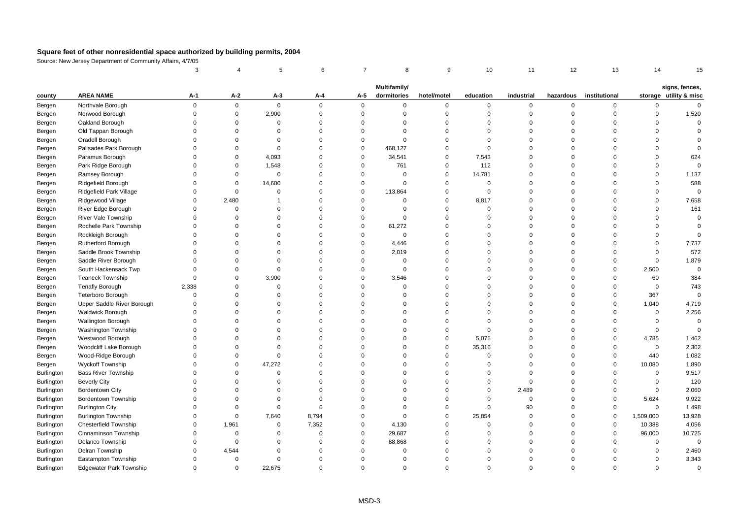|                   |                                | 3           |             | 5              | 6           | 7           | 8            | 9           | 10          | 11          | 12          | 13            | 14          | 15                                       |
|-------------------|--------------------------------|-------------|-------------|----------------|-------------|-------------|--------------|-------------|-------------|-------------|-------------|---------------|-------------|------------------------------------------|
|                   |                                |             |             |                |             |             | Multifamily/ |             |             |             |             |               |             |                                          |
| county            | <b>AREA NAME</b>               | А-1         | A-2         | $A-3$          | A-4         | A-5         | dormitories  | hotel/motel | education   | industrial  | hazardous   | institutional |             | signs, fences,<br>storage utility & misc |
| Bergen            | Northvale Borough              | $\mathbf 0$ | $\mathsf 0$ | $\mathbf 0$    | $\mathbf 0$ | $\mathbf 0$ | $\mathbf 0$  | $\mathsf 0$ | $\mathbf 0$ | $\mathsf 0$ | $\mathbf 0$ | 0             | $\mathbf 0$ | $\mathbf 0$                              |
| Bergen            | Norwood Borough                | $\Omega$    | $\mathsf 0$ | 2,900          | $\mathbf 0$ | $\mathbf 0$ | $\Omega$     | $\mathbf 0$ | $\mathbf 0$ | $\mathbf 0$ | $\Omega$    | $\Omega$      | $\mathbf 0$ | 1,520                                    |
| Bergen            | Oakland Borough                | $\Omega$    | $\Omega$    | $\mathbf 0$    | $\Omega$    | $\mathbf 0$ | $\Omega$     | $\mathbf 0$ | $\Omega$    | $\mathbf 0$ | $\Omega$    | $\Omega$      | $\Omega$    | $\mathbf 0$                              |
| Bergen            | Old Tappan Borough             | $\Omega$    | $\Omega$    | $\Omega$       | $\Omega$    | $\mathbf 0$ | $\Omega$     | $\mathbf 0$ | $\Omega$    | $\Omega$    | $\Omega$    | $\Omega$      | $\Omega$    | $\Omega$                                 |
| Bergen            | Oradell Borough                | $\Omega$    | $\Omega$    | $\Omega$       | $\Omega$    | $\mathbf 0$ | $\Omega$     | $\Omega$    | $\Omega$    | $\Omega$    | $\Omega$    | $\Omega$      | $\Omega$    |                                          |
| Bergen            | Palisades Park Borough         | $\Omega$    | $\Omega$    | $\mathbf 0$    | $\Omega$    | $\mathbf 0$ | 468,127      | $\Omega$    | $\Omega$    | $\Omega$    | $\Omega$    | $\Omega$      | $\Omega$    | $\Omega$                                 |
| Bergen            | Paramus Borough                | $\Omega$    | $\mathbf 0$ | 4,093          | $\Omega$    | $\mathbf 0$ | 34,541       | $\pmb{0}$   | 7,543       | $\Omega$    | $\Omega$    | $\Omega$      | $\mathbf 0$ | 624                                      |
| Bergen            | Park Ridge Borough             | $\Omega$    | $\Omega$    | 1,548          | $\Omega$    | $\mathbf 0$ | 761          | $\mathbf 0$ | 112         | $\Omega$    | $\Omega$    | $\Omega$      | $\Omega$    | $\Omega$                                 |
| Bergen            | Ramsey Borough                 | $\Omega$    | $\Omega$    | $\mathbf 0$    | $\Omega$    | $\mathbf 0$ | $\Omega$     | $\mathbf 0$ | 14,781      | $\Omega$    | $\Omega$    | $\Omega$      | $\Omega$    | 1,137                                    |
| Bergen            | Ridgefield Borough             | $\Omega$    | $\mathsf 0$ | 14,600         | $\Omega$    | $\mathbf 0$ | $\Omega$     | $\Omega$    | $\mathbf 0$ | $\Omega$    | $\Omega$    | $\Omega$      | $\Omega$    | 588                                      |
| Bergen            | Ridgefield Park Village        | $\Omega$    | $\Omega$    | $\mathbf 0$    | $\Omega$    | $\mathbf 0$ | 113,864      | $\mathbf 0$ | $\mathbf 0$ | $\Omega$    | $\Omega$    | $\Omega$      | $\mathbf 0$ | $\mathbf 0$                              |
| Bergen            | Ridgewood Village              | $\Omega$    | 2,480       | $\overline{1}$ | $\Omega$    | $\mathbf 0$ | $\Omega$     | $\mathbf 0$ | 8,817       | $\Omega$    | $\Omega$    | $\Omega$      | $\mathbf 0$ | 7,658                                    |
| Bergen            | River Edge Borough             | $\mathbf 0$ | $\mathbf 0$ | 0              | $\mathbf 0$ | $\mathbf 0$ | $\Omega$     | $\mathsf 0$ | $\mathbf 0$ | $\mathbf 0$ | $\Omega$    | $\Omega$      | 0           | 161                                      |
| Bergen            | <b>River Vale Township</b>     | $\Omega$    | $\Omega$    | $\Omega$       | $\Omega$    | $\mathbf 0$ | $\Omega$     | $\mathbf 0$ | $\Omega$    | $\Omega$    | $\Omega$    | $\Omega$      | $\Omega$    | $\mathbf 0$                              |
| Bergen            | Rochelle Park Township         | $\Omega$    | $\Omega$    | $\Omega$       | $\Omega$    | $\mathbf 0$ | 61,272       | $\Omega$    | $\Omega$    | $\Omega$    | $\Omega$    | $\Omega$      | $\Omega$    | $\Omega$                                 |
| Bergen            | Rockleigh Borough              | $\Omega$    | $\Omega$    | $\Omega$       | $\Omega$    | $\mathbf 0$ | $\mathbf 0$  | $\mathbf 0$ | $\mathbf 0$ | $\mathbf 0$ | $\mathbf 0$ | $\Omega$      | $\mathbf 0$ | $\Omega$                                 |
| Bergen            | <b>Rutherford Borough</b>      | $\Omega$    | $\Omega$    | $\Omega$       | $\Omega$    | $\mathbf 0$ | 4,446        | $\mathbf 0$ | $\Omega$    | $\Omega$    | $\Omega$    | $\Omega$      | $\mathbf 0$ | 7,737                                    |
| Bergen            | Saddle Brook Township          | $\Omega$    | $\Omega$    | $\Omega$       | $\Omega$    | $\mathbf 0$ | 2,019        | $\mathbf 0$ | $\Omega$    | $\mathbf 0$ | $\Omega$    | $\Omega$      | $\mathbf 0$ | 572                                      |
| Bergen            | Saddle River Borough           | $\mathbf 0$ | $\Omega$    | $\Omega$       | $\Omega$    | $\mathbf 0$ | $\Omega$     | $\mathbf 0$ | $\Omega$    | $\mathbf 0$ | $\Omega$    | $\mathbf 0$   | $\mathbf 0$ | 1,879                                    |
| Bergen            | South Hackensack Twp           | $\Omega$    | $\Omega$    | $\mathbf 0$    | $\Omega$    | $\mathbf 0$ | $\Omega$     | $\Omega$    | $\Omega$    | $\Omega$    | $\Omega$    | $\Omega$      | 2,500       | $\mathbf 0$                              |
| Bergen            | <b>Teaneck Township</b>        | $\mathbf 0$ | $\Omega$    | 3,900          | $\Omega$    | $\mathbf 0$ | 3,546        | $\Omega$    | $\Omega$    | $\mathbf 0$ | $\Omega$    | $\Omega$      | 60          | 384                                      |
| Bergen            | <b>Tenafly Borough</b>         | 2,338       | $\Omega$    | 0              | $\Omega$    | $\mathbf 0$ | $\Omega$     | $\mathsf 0$ | $\Omega$    | $\Omega$    | $\Omega$    | $\Omega$      | $\mathbf 0$ | 743                                      |
| Bergen            | <b>Teterboro Borough</b>       | $\Omega$    | $\Omega$    | $\Omega$       | $\Omega$    | $\mathbf 0$ | $\Omega$     | $\Omega$    | $\Omega$    | $\Omega$    | $\Omega$    | $\Omega$      | 367         | $\mathbf 0$                              |
| Bergen            | Upper Saddle River Borough     | $\Omega$    | $\Omega$    | $\Omega$       | $\Omega$    | $\mathbf 0$ | $\Omega$     | $\Omega$    | $\Omega$    | $\Omega$    | $\Omega$    | $\Omega$      | 1,040       | 4,719                                    |
| Bergen            | Waldwick Borough               | $\Omega$    | $\Omega$    | $\Omega$       | $\Omega$    | $\Omega$    | $\Omega$     | $\Omega$    | $\Omega$    | $\Omega$    | $\Omega$    | $\Omega$      | $\Omega$    | 2,256                                    |
| Bergen            | <b>Wallington Borough</b>      | $\Omega$    | $\Omega$    | $\Omega$       | $\Omega$    | $\mathbf 0$ | $\Omega$     | $\mathbf 0$ | $\Omega$    | $\Omega$    | $\Omega$    | $\Omega$      | $\mathbf 0$ | $\mathbf 0$                              |
| Bergen            | Washington Township            | $\Omega$    | $\Omega$    | $\mathbf 0$    | $\Omega$    | $\mathbf 0$ | $\Omega$     | $\pmb{0}$   | $\mathsf 0$ | $\Omega$    | $\Omega$    | $\Omega$      | $\mathbf 0$ | $\mathbf 0$                              |
| Bergen            | Westwood Borough               | $\Omega$    | $\Omega$    | $\Omega$       | $\Omega$    | $\Omega$    | $\Omega$     | $\Omega$    | 5,075       | $\Omega$    | $\Omega$    | $\Omega$      | 4,785       | 1,462                                    |
| Bergen            | Woodcliff Lake Borough         | $\Omega$    | $\Omega$    | $\Omega$       | $\Omega$    | $\mathbf 0$ | $\Omega$     | $\mathbf 0$ | 35,316      | $\Omega$    | $\Omega$    | $\Omega$      | $\mathbf 0$ | 2,302                                    |
| Bergen            | Wood-Ridge Borough             | $\Omega$    | $\Omega$    | $\mathbf 0$    | $\Omega$    | $\mathbf 0$ | $\Omega$     | $\Omega$    | $\Omega$    | $\Omega$    | $\Omega$    | $\Omega$      | 440         | 1,082                                    |
| Bergen            | <b>Wyckoff Township</b>        | $\Omega$    | $\Omega$    | 47,272         | $\Omega$    | $\mathbf 0$ | $\Omega$     | $\mathbf 0$ | $\Omega$    | $\Omega$    | $\Omega$    | $\Omega$      | 10,080      | 1,890                                    |
| <b>Burlington</b> | <b>Bass River Township</b>     | $\Omega$    | $\Omega$    | $\mathbf 0$    | $\Omega$    | $\mathbf 0$ | $\Omega$     | $\mathbf 0$ | $\Omega$    | $\Omega$    | $\Omega$    | $\Omega$      | $\mathbf 0$ | 9,517                                    |
| Burlington        | <b>Beverly City</b>            | $\Omega$    | $\Omega$    | $\Omega$       | $\Omega$    | $\mathbf 0$ | $\Omega$     | $\mathbf 0$ | $\Omega$    | $\Omega$    | $\Omega$    | $\Omega$      | $\mathbf 0$ | 120                                      |
| <b>Burlington</b> | Bordentown City                | $\Omega$    | $\Omega$    | $\Omega$       | $\Omega$    | $\mathbf 0$ | $\Omega$     | $\Omega$    | $\Omega$    | 2,489       | $\Omega$    | $\Omega$      | $\mathbf 0$ | 2,060                                    |
| <b>Burlington</b> | Bordentown Township            | $\Omega$    | $\Omega$    | $\Omega$       | $\Omega$    | $\Omega$    | $\Omega$     | $\Omega$    | $\Omega$    | $\Omega$    | $\Omega$    | $\Omega$      | 5,624       | 9,922                                    |
| Burlington        | <b>Burlington City</b>         | $\Omega$    | $\Omega$    | $\mathbf 0$    | $\Omega$    | $\mathbf 0$ | $\Omega$     | $\Omega$    | $\mathbf 0$ | 90          | $\Omega$    | $\Omega$      | $\mathbf 0$ | 1,498                                    |
| <b>Burlington</b> | <b>Burlington Township</b>     | $\Omega$    | $\Omega$    | 7,640          | 8,794       | $\mathbf 0$ | $\Omega$     | $\mathbf 0$ | 25,854      | $\Omega$    | $\Omega$    | $\mathbf 0$   | 1,509,000   | 13,928                                   |
| <b>Burlington</b> | <b>Chesterfield Township</b>   | $\Omega$    | 1,961       | 0              | 7,352       | $\mathbf 0$ | 4,130        | 0           | $\Omega$    | $\Omega$    | $\Omega$    | $\Omega$      | 10,388      | 4,056                                    |
| <b>Burlington</b> | Cinnaminson Township           | $\mathbf 0$ | $\mathbf 0$ | $\Omega$       | $\Omega$    | $\mathbf 0$ | 29,687       | $\Omega$    | $\Omega$    | $\mathbf 0$ | $\Omega$    | $\mathbf 0$   | 96,000      | 10,725                                   |
| <b>Burlington</b> | Delanco Township               | $\Omega$    | $\Omega$    | $\Omega$       | $\Omega$    | $\mathbf 0$ | 88,868       | $\Omega$    | $\Omega$    | $\Omega$    | $\Omega$    | $\Omega$      | $\Omega$    | $\mathbf 0$                              |
| <b>Burlington</b> | Delran Township                | $\Omega$    | 4,544       | $\Omega$       | $\Omega$    | $\mathbf 0$ | $\Omega$     | $\Omega$    | $\Omega$    | $\mathbf 0$ | $\Omega$    | $\Omega$      | 0           | 2,460                                    |
| Burlington        | Eastampton Township            | $\Omega$    | $\mathbf 0$ | $\mathbf 0$    | $\Omega$    | $\Omega$    | $\Omega$     | $\Omega$    | $\Omega$    | $\Omega$    | $\Omega$    | $\Omega$      | $\mathbf 0$ | 3,343                                    |
| <b>Burlington</b> | <b>Edgewater Park Township</b> | $\Omega$    | $\Omega$    | 22.675         | $\Omega$    | $\Omega$    | $\Omega$     | $\Omega$    | $\Omega$    | $\Omega$    | $\Omega$    | $\Omega$      | $\Omega$    | $\Omega$                                 |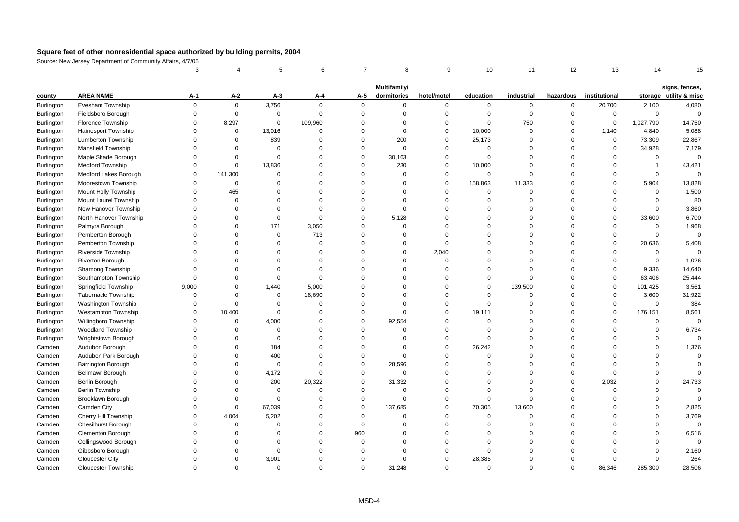|                   |                            | 3                    |                      | 5           | 6                    | $\overline{7}$ | 8                    | 9                       | 10                 | 11                   | 12                   | 13            | 14                      | 15                                       |
|-------------------|----------------------------|----------------------|----------------------|-------------|----------------------|----------------|----------------------|-------------------------|--------------------|----------------------|----------------------|---------------|-------------------------|------------------------------------------|
|                   |                            |                      |                      |             |                      |                | Multifamily/         |                         |                    |                      |                      |               |                         |                                          |
| county            | <b>AREA NAME</b>           | А-1                  | $A-2$                | $A-3$       | A-4                  | A-5            | dormitories          | hotel/motel             | education          | industrial           | hazardous            | institutional |                         | signs, fences,<br>storage utility & misc |
| Burlington        | Evesham Township           | $\mathbf 0$          | 0                    | 3,756       | 0                    | $\mathbf 0$    | 0                    | $\mathbf 0$             | 0                  | 0                    | $\mathbf 0$          | 20,700        | 2,100                   | 4,080                                    |
| Burlington        | Fieldsboro Borough         | $\mathbf 0$          | $\mathbf 0$          | $\mathsf 0$ | $\mathbf 0$          | $\mathbf 0$    | $\Omega$             | $\mathbf 0$             | 0                  | $\mathbf 0$          | $\mathsf 0$          | $\mathbf 0$   | $\mathbf 0$             | $\mathbf 0$                              |
| Burlington        | Florence Township          | $\Omega$             | 8,297                | $\mathbf 0$ | 109,960              | $\mathbf 0$    | $\Omega$             | $\Omega$                | $\mathbf 0$        | 750                  | $\mathbf 0$          | $\Omega$      | 1,027,790               | 14,750                                   |
| Burlington        | Hainesport Township        | $\Omega$             | $\mathbf 0$          | 13,016      | $\Omega$             | $\mathbf 0$    | $\Omega$             | $\Omega$                | 10,000             | $\mathbf 0$          | $\mathbf 0$          | 1,140         | 4,840                   | 5,088                                    |
| Burlington        | <b>Lumberton Township</b>  | $\Omega$             | $\Omega$             | 839         | $\Omega$             | $\mathbf 0$    | 200                  | $\Omega$                | 25,173             | $\Omega$             | $\mathbf 0$          | $\mathbf 0$   | 73,309                  | 22,867                                   |
| <b>Burlington</b> | <b>Mansfield Township</b>  | $\Omega$             | $\mathbf 0$          | $\mathbf 0$ | $\Omega$             | $\mathbf 0$    | $\Omega$             | $\mathbf 0$             | $\mathbf 0$        | $\mathbf 0$          | $\mathsf 0$          | $\mathbf 0$   | 34,928                  | 7,179                                    |
| Burlington        | Maple Shade Borough        | $\Omega$             | $\mathbf 0$          | $\Omega$    | $\Omega$             | $\mathbf 0$    | 30,163               | $\mathbf 0$             | $\mathbf 0$        | $\Omega$             | $\mathbf 0$          | $\Omega$      | $\mathbf 0$             | $\mathbf 0$                              |
| <b>Burlington</b> | Medford Township           | $\Omega$             | $\mathbf 0$          | 13,836      | $\Omega$             | $\mathbf 0$    | 230                  | $\Omega$                | 10,000             | $\Omega$             | $\mathbf 0$          | $\Omega$      | $\overline{\mathbf{1}}$ | 43,421                                   |
| Burlington        | Medford Lakes Borough      | $\Omega$             | 141,300              | $\Omega$    | $\Omega$             | $\mathbf 0$    | $\Omega$             | $\Omega$                | 0                  | $\Omega$             | $\mathbf 0$          | $\Omega$      | $\mathbf 0$             | $\mathbf 0$                              |
| Burlington        | Moorestown Township        | $\Omega$             | $\mathbf 0$          | $\Omega$    | $\Omega$             | $\Omega$       | $\Omega$             | $\Omega$                | 158,863            | 11,333               | $\Omega$             | $\Omega$      | 5,904                   | 13,828                                   |
| Burlington        | Mount Holly Township       | $\Omega$             | 465                  | $\Omega$    | $\Omega$             | $\mathbf 0$    | $\Omega$             | $\Omega$                | $\mathbf 0$        | $\mathbf 0$          | $\mathbf 0$          | $\Omega$      | $\mathbf 0$             | 1,500                                    |
| Burlington        | Mount Laurel Township      | $\Omega$             | $\mathbf 0$          | $\Omega$    | 0                    | $\Omega$       | $\Omega$             | $\mathbf 0$             | $\Omega$           | $\mathbf 0$          | $\mathbf 0$          | $\Omega$      | $\mathbf 0$             | 80                                       |
| Burlington        | New Hanover Township       | $\Omega$             | $\Omega$             | $\Omega$    | $\Omega$             | $\mathbf 0$    | $\Omega$             | $\Omega$                | $\Omega$           | $\Omega$             | $\mathsf 0$          | $\Omega$      | $\mathbf 0$             | 3,860                                    |
| <b>Burlington</b> | North Hanover Township     | $\Omega$             | $\Omega$             | $\mathbf 0$ | $\Omega$             | $\mathbf 0$    | 5,128                | $\Omega$                | $\Omega$           | $\Omega$             | $\mathbf 0$          | $\Omega$      | 33,600                  | 6,700                                    |
| Burlington        | Palmyra Borough            | $\Omega$             | $\Omega$             | 171         | 3,050                | $\mathbf 0$    | $\Omega$             | $\Omega$                | $\Omega$           | $\Omega$             | $\mathbf 0$          | $\Omega$      | $\mathbf 0$             | 1,968                                    |
| Burlington        | Pemberton Borough          | $\Omega$             | $\Omega$             | $\mathbf 0$ | 713                  | $\mathbf 0$    | $\Omega$             | $\Omega$                | $\Omega$           | $\Omega$             | $\mathsf 0$          | $\Omega$      | $\mathbf 0$             | $\mathbf 0$                              |
| Burlington        | Pemberton Township         | $\Omega$             | $\mathbf 0$          | $\Omega$    | 0                    | $\Omega$       | $\Omega$             | $\mathbf 0$             | $\Omega$           | $\mathbf 0$          | $\mathsf 0$          | $\mathbf 0$   | 20,636                  | 5,408                                    |
| Burlington        | Riverside Township         | $\Omega$             | $\Omega$             | $\Omega$    | $\Omega$             | $\Omega$       | $\Omega$             | 2,040                   | $\Omega$           | $\Omega$             | $\mathbf 0$          | $\Omega$      | $\mathbf 0$             | $\Omega$                                 |
| Burlington        | Riverton Borough           | $\Omega$             | $\Omega$             | $\Omega$    | $\Omega$             | $\Omega$       | $\Omega$             | $\Omega$                | $\Omega$           | $\Omega$             | $\Omega$             | $\Omega$      | $\mathbf 0$             | 1,026                                    |
| Burlington        | Shamong Township           | $\Omega$             | $\Omega$             | $\Omega$    | $\Omega$             | $\Omega$       | $\Omega$             | $\Omega$                | $\Omega$           | $\Omega$             | $\mathbf 0$          | $\Omega$      | 9,336                   | 14,640                                   |
| <b>Burlington</b> | Southampton Township       | $\mathbf 0$          | $\Omega$             | $\mathbf 0$ | $\Omega$             | $\Omega$       | $\Omega$             | $\Omega$                | $\Omega$           | $\Omega$             | $\mathbf 0$          | $\mathbf 0$   | 63,406                  | 25,444                                   |
| Burlington        | Springfield Township       | 9,000                | $\mathbf 0$          | 1,440       | 5,000                | $\Omega$       | $\Omega$             | $\Omega$                | $\Omega$           | 139,500              | $\mathbf 0$          | $\Omega$      | 101,425                 | 3,561                                    |
| Burlington        | <b>Tabernacle Township</b> | 0                    | $\mathbf 0$          | $\mathbf 0$ | 18,690               | $\Omega$       | $\Omega$             | $\mathbf 0$             | $\Omega$           | $\mathbf 0$          | $\mathbf 0$          | $\Omega$      | 3,600                   | 31,922                                   |
| Burlington        | Washington Township        | $\mathbf 0$          | $\mathbf 0$          | $\Omega$    | $\Omega$             | $\Omega$       | $\Omega$             | $\mathbf 0$             | $\mathbf 0$        | $\Omega$             | $\Omega$             | $\Omega$      | $\mathbf 0$             | 384                                      |
| Burlington        | <b>Westampton Township</b> | $\Omega$             | 10,400               | $\mathbf 0$ | $\Omega$             | $\Omega$       | $\Omega$             | $\Omega$                | 19,111             | $\Omega$             | $\Omega$             | $\Omega$      | 176,151                 | 8,561                                    |
| Burlington        | Willingboro Township       | $\Omega$             | $\mathbf 0$          | 4,000       | $\Omega$             | $\mathbf 0$    | 92,554               | $\Omega$                | $\mathbf 0$        | $\Omega$             | $\mathbf 0$          | $\Omega$      | $\mathbf 0$             | $\Omega$                                 |
| Burlington        | <b>Woodland Township</b>   | $\Omega$             | $\mathbf 0$          | $\Omega$    | $\Omega$             | $\mathbf 0$    | $\Omega$             | $\mathsf 0$             | $\mathbf 0$        | $\Omega$             | $\mathbf 0$          | $\Omega$      | $\mathbf 0$             | 6,734                                    |
| Burlington        | Wrightstown Borough        | $\Omega$             | $\Omega$             | $\Omega$    | $\Omega$             | $\Omega$       | $\Omega$             | $\Omega$                | $\Omega$           | $\Omega$             | $\mathsf 0$          | $\Omega$      | $\mathbf 0$             | $\Omega$                                 |
| Camden            | Audubon Borough            | $\Omega$             | $\Omega$             | 184         | $\Omega$             | $\mathbf 0$    | $\Omega$             | $\Omega$                | 26,242             | $\Omega$             | $\Omega$             | $\Omega$      | $\Omega$                | 1,376                                    |
| Camden            | Audubon Park Borough       | $\Omega$             | $\Omega$             | 400         | $\Omega$             | $\mathbf 0$    | $\Omega$             | $\Omega$                | $\Omega$           | $\Omega$             | $\mathbf 0$          | $\Omega$      | $\Omega$                | $\mathbf 0$                              |
| Camden            | Barrington Borough         | $\Omega$             | $\mathbf 0$          | $\mathbf 0$ | $\Omega$             | $\mathbf 0$    | 28,596               | $\mathbf 0$             | $\mathbf 0$        | $\Omega$             | $\mathsf 0$          | $\Omega$      | $\Omega$                | $\Omega$                                 |
| Camden            | Bellmawr Borough           | $\Omega$             | $\mathbf 0$          | 4,172       | $\Omega$             | $\mathbf 0$    | $\Omega$             | $\Omega$                | $\Omega$           | $\Omega$             | $\mathbf 0$          | $\Omega$      | $\Omega$                | $\Omega$                                 |
| Camden            | Berlin Borough             | $\Omega$             | $\mathbf 0$          | 200         | 20,322               | $\mathbf 0$    | 31,332               | $\Omega$                | $\Omega$           | $\Omega$             | $\mathbf 0$          | 2,032         | $\Omega$                | 24,733                                   |
| Camden            | Berlin Township            | $\Omega$             | $\Omega$             | $\mathbf 0$ | $\Omega$             | $\mathbf 0$    | $\Omega$             | $\Omega$                | $\Omega$           | $\Omega$             | $\Omega$             | $\Omega$      | $\Omega$                | $\overline{0}$                           |
| Camden            | Brooklawn Borough          | $\Omega$             | $\mathbf 0$          | $\mathbf 0$ | $\Omega$             | $\mathbf 0$    | $\Omega$             | $\Omega$                | $\Omega$           | $\Omega$             | $\mathbf 0$          | $\Omega$      | $\Omega$                | $\Omega$                                 |
| Camden            | Camden City                | $\Omega$             | $\mathbf 0$          | 67,039      | $\Omega$             | $\mathbf 0$    | 137,685              | $\Omega$                | 70,305             | 13,600               | $\mathbf 0$          | $\Omega$      | $\Omega$                | 2,825                                    |
| Camden            | Cherry Hill Township       | $\Omega$             | 4,004                | 5,202       | $\Omega$             | $\mathbf 0$    | $\Omega$             | $\Omega$                | $\mathbf 0$        | $\Omega$             | $\mathbf 0$          | $\Omega$      | $\Omega$                | 3,769                                    |
| Camden            | <b>Chesilhurst Borough</b> | $\Omega$             | $\mathbf 0$          | $\Omega$    | $\mathbf 0$          | $\mathbf 0$    | $\Omega$             | $\Omega$                | $\Omega$           | $\mathbf 0$          | $\mathbf 0$          | $\Omega$      | $\mathbf 0$             | $\overline{0}$                           |
| Camden            | <b>Clementon Borough</b>   | $\Omega$<br>$\Omega$ | $\Omega$             | $\Omega$    | $\Omega$<br>$\Omega$ | 960            | $\Omega$<br>$\Omega$ | $\Omega$<br>$\Omega$    | $\Omega$           | $\Omega$             | $\Omega$<br>$\Omega$ | $\Omega$      | $\mathbf 0$<br>$\Omega$ | 6,516<br>$\Omega$                        |
| Camden            | Collingswood Borough       |                      | $\Omega$             | $\Omega$    |                      | $\mathbf 0$    |                      |                         | $\Omega$           | $\Omega$             |                      | $\Omega$      |                         |                                          |
| Camden            | Gibbsboro Borough          | $\Omega$             | $\Omega$             | $\mathbf 0$ | O                    | $\Omega$       | $\Omega$<br>$\Omega$ | $\Omega$                | $\Omega$           | $\Omega$<br>$\Omega$ | $\Omega$<br>$\Omega$ | $\Omega$      | $\Omega$                | 2,160                                    |
| Camden            | <b>Gloucester City</b>     | $\Omega$<br>$\Omega$ | $\Omega$<br>$\Omega$ | 3,901       | $\Omega$<br>$\Omega$ | $\mathbf 0$    |                      | $\mathbf 0$<br>$\Omega$ | 28,385<br>$\Omega$ |                      | $\Omega$             | $\Omega$      | $\mathbf 0$             | 264                                      |
| Camden            | Gloucester Township        |                      |                      | $\Omega$    |                      | $\Omega$       | 31.248               |                         |                    | $\Omega$             |                      | 86,346        | 285.300                 | 28,506                                   |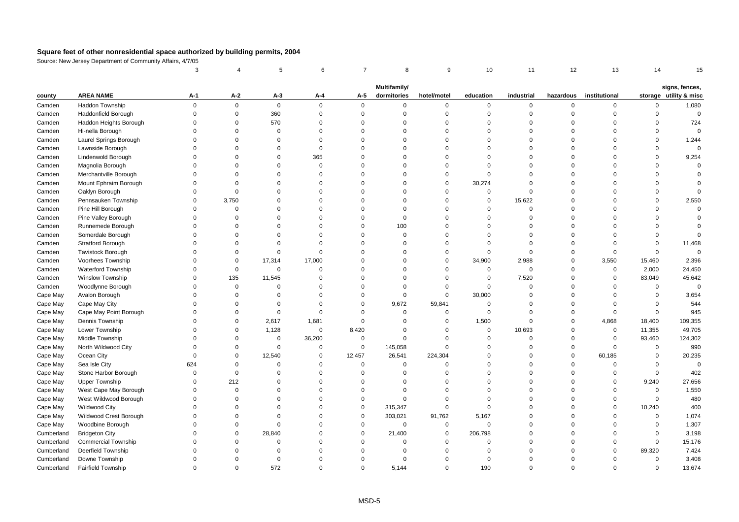|            |                            | 3           |             | 5           | 6           | $\overline{7}$ | 8            | 9           | 10             | 11          | 12          | 13            | 14          | 15                     |
|------------|----------------------------|-------------|-------------|-------------|-------------|----------------|--------------|-------------|----------------|-------------|-------------|---------------|-------------|------------------------|
|            |                            |             |             |             |             |                | Multifamily/ |             |                |             |             |               |             | signs, fences,         |
| county     | <b>AREA NAME</b>           | A-1         | $A-2$       | $A-3$       | A-4         | A-5            | dormitories  | hotel/motel | education      | industrial  | hazardous   | institutional |             | storage utility & misc |
| Camden     | Haddon Township            | $\mathbf 0$ | $\mathbf 0$ | $\mathbf 0$ | $\mathbf 0$ | $\mathbf 0$    | $\mathbf 0$  | 0           | $\mathbf 0$    | $\mathbf 0$ | $\Omega$    | 0             | $\mathbf 0$ | 1,080                  |
| Camden     | Haddonfield Borough        | $\Omega$    | $\bf 0$     | 360         | $\mathbf 0$ | $\bf 0$        | $\Omega$     | 0           | $\mathbf 0$    | $\mathbf 0$ | $\Omega$    | $\mathbf 0$   | $\Omega$    | $\mathbf 0$            |
| Camden     | Haddon Heights Borough     | $\Omega$    | $\mathbf 0$ | 570         | $\mathbf 0$ | $\Omega$       | $\Omega$     | $\Omega$    | $\Omega$       | $\Omega$    | $\Omega$    | $\Omega$      | $\Omega$    | 724                    |
| Camden     | Hi-nella Borough           | $\Omega$    | $\Omega$    | $\Omega$    | $\Omega$    | $\Omega$       | $\Omega$     | $\mathbf 0$ | $\Omega$       | $\Omega$    | $\Omega$    | $\Omega$      | $\Omega$    | $\Omega$               |
| Camden     | Laurel Springs Borough     | $\Omega$    | $\Omega$    | $\Omega$    | $\Omega$    | $\Omega$       | $\Omega$     | $\mathbf 0$ | $\Omega$       | $\Omega$    | $\Omega$    | $\Omega$      | $\Omega$    | 1,244                  |
| Camden     | Lawnside Borough           | $\Omega$    | $\mathbf 0$ | $\Omega$    | $\mathbf 0$ | $\Omega$       | $\Omega$     | $\Omega$    | $\mathbf 0$    | $\Omega$    | $\mathbf 0$ | $\Omega$      | $\Omega$    | $\Omega$               |
| Camden     | Lindenwold Borough         | $\Omega$    | $\mathbf 0$ | $\Omega$    | 365         | $\Omega$       | $\Omega$     | 0           | $\Omega$       | $\mathbf 0$ | $\mathbf 0$ | $\Omega$      | $\mathbf 0$ | 9,254                  |
| Camden     | Magnolia Borough           | $\Omega$    | $\Omega$    | $\Omega$    | $\Omega$    | $\Omega$       | $\Omega$     | $\Omega$    | $\Omega$       | $\Omega$    | $\Omega$    | $\Omega$      | $\Omega$    | $\Omega$               |
| Camden     | Merchantville Borough      | $\Omega$    | $\Omega$    | $\Omega$    | $\Omega$    | $\Omega$       | $\Omega$     | $\mathbf 0$ | $\Omega$       | $\Omega$    | $\Omega$    | $\Omega$      | $\Omega$    | $\Omega$               |
| Camden     | Mount Ephraim Borough      | $\Omega$    | $\mathbf 0$ | $\Omega$    | $\mathbf 0$ | $\Omega$       | $\Omega$     | 0           | 30,274         | $\Omega$    | $\Omega$    | $\Omega$      | $\Omega$    | $\mathbf 0$            |
| Camden     | Oaklyn Borough             | $\Omega$    | $\mathsf 0$ | $\Omega$    | $\mathbf 0$ | $\Omega$       | $\Omega$     | $\mathbf 0$ | $\mathbf 0$    | $\mathbf 0$ | $\mathbf 0$ | $\Omega$      | $\Omega$    | $\mathbf 0$            |
| Camden     | Pennsauken Township        | $\Omega$    | 3,750       | $\Omega$    | $\Omega$    | $\Omega$       | $\Omega$     | 0           | $\mathbf 0$    | 15,622      | $\Omega$    | $\Omega$      | $\Omega$    | 2,550                  |
| Camden     | Pine Hill Borough          | $\Omega$    | $\mathbf 0$ | $\Omega$    | $\Omega$    | $\Omega$       | $\Omega$     | $\mathbf 0$ | $\Omega$       | $\mathbf 0$ | $\Omega$    | $\Omega$      | $\Omega$    | $\Omega$               |
| Camden     | Pine Valley Borough        | $\Omega$    | $\Omega$    | $\Omega$    | $\Omega$    | $\Omega$       | $\mathbf 0$  | $\Omega$    | $\Omega$       | $\Omega$    | $\Omega$    | $\Omega$      | $\Omega$    | $\Omega$               |
| Camden     | Runnemede Borough          | $\Omega$    | $\Omega$    | $\Omega$    | $\Omega$    | $\Omega$       | 100          | 0           | $\Omega$       | $\Omega$    | $\Omega$    | $\Omega$      | $\Omega$    | $\Omega$               |
| Camden     | Somerdale Borough          | $\Omega$    | $\Omega$    | $\Omega$    | $\Omega$    | $\Omega$       | $\Omega$     | $\mathbf 0$ | $\Omega$       | $\Omega$    | $\Omega$    | $\Omega$      | $\Omega$    | $\Omega$               |
| Camden     | Stratford Borough          | $\Omega$    | $\mathbf 0$ | $\Omega$    | $\Omega$    | $\Omega$       | $\Omega$     | 0           | $\Omega$       | $\Omega$    | $\mathbf 0$ | $\Omega$      | $\Omega$    | 11,468                 |
| Camden     | <b>Tavistock Borough</b>   | $\Omega$    | $\mathsf 0$ | $\mathbf 0$ | $\Omega$    | $\Omega$       | $\Omega$     | 0           | $\Omega$       | $\mathbf 0$ | $\Omega$    | $\Omega$      | $\Omega$    | $\Omega$               |
| Camden     | Voorhees Township          | $\Omega$    | $\Omega$    | 17,314      | 17,000      | $\Omega$       | $\Omega$     | $\Omega$    | 34,900         | 2,988       | $\Omega$    | 3,550         | 15,460      | 2,396                  |
| Camden     | Waterford Township         | $\Omega$    | $\mathbf 0$ | 0           | $\Omega$    | $\Omega$       | $\Omega$     | $\Omega$    | $\mathbf 0$    | $\mathbf 0$ | $\Omega$    | $\mathbf 0$   | 2,000       | 24,450                 |
| Camden     | <b>Winslow Township</b>    | $\Omega$    | 135         | 11,545      | $\mathbf 0$ | $\Omega$       | $\Omega$     | 0           | $\mathbf 0$    | 7,520       | $\mathbf 0$ | $\mathbf 0$   | 83,049      | 45,642                 |
| Camden     | Woodlynne Borough          | $\Omega$    | $\pmb{0}$   | $\mathbf 0$ | $\mathbf 0$ | $\Omega$       | $\Omega$     | 0           | $\mathbf 0$    | $\mathbf 0$ | $\mathbf 0$ | $\Omega$      | $\mathsf 0$ | $\mathbf 0$            |
| Cape May   | Avalon Borough             | $\Omega$    | $\Omega$    | $\Omega$    | $\Omega$    | $\Omega$       | $\Omega$     | $\mathbf 0$ | 30,000         | $\Omega$    | $\Omega$    | $\Omega$      | $\Omega$    | 3,654                  |
| Cape May   | Cape May City              | $\Omega$    | $\Omega$    | $\Omega$    | $\Omega$    | $\Omega$       | 9,672        | 59,841      | $\mathbf 0$    | $\Omega$    | $\Omega$    | $\Omega$      | $\Omega$    | 544                    |
| Cape May   | Cape May Point Borough     | $\Omega$    | $\Omega$    | $\mathbf 0$ | $\Omega$    | $\Omega$       | $\Omega$     | $\mathbf 0$ | $\Omega$       | $\Omega$    | $\Omega$    | 0             | $\mathbf 0$ | 945                    |
| Cape May   | Dennis Township            | $\Omega$    | $\mathbf 0$ | 2,617       | 1,681       | $\mathsf 0$    | $\Omega$     | 0           | 1,500          | $\mathbf 0$ | $\mathbf 0$ | 4,868         | 18,400      | 109,355                |
| Cape May   | Lower Township             | $\Omega$    | $\Omega$    | 1,128       | $\mathsf 0$ | 8,420          | $\Omega$     | $\Omega$    | $\mathbf 0$    | 10,693      | $\Omega$    | $\mathbf 0$   | 11,355      | 49,705                 |
| Cape May   | Middle Township            | $\Omega$    | $\mathbf 0$ | 0           | 36,200      | $\mathbf 0$    | $\Omega$     | $\mathbf 0$ | $\Omega$       | $\mathbf 0$ | $\mathbf 0$ | $\mathbf 0$   | 93,460      | 124,302                |
| Cape May   | North Wildwood City        | $\Omega$    | $\Omega$    | $\Omega$    | $\Omega$    | $\mathsf 0$    | 145,058      | $\Omega$    | $\Omega$       | $\Omega$    | $\Omega$    | $\Omega$      | $\mathbf 0$ | 990                    |
| Cape May   | Ocean City                 | $\Omega$    | $\mathbf 0$ | 12,540      | $\mathbf 0$ | 12,457         | 26,541       | 224,304     | $\Omega$       | $\Omega$    | $\mathbf 0$ | 60,185        | $\Omega$    | 20,235                 |
| Cape May   | Sea Isle City              | 624         | $\Omega$    | $\Omega$    | $\Omega$    | $\mathbf 0$    | $\Omega$     | $\Omega$    | $\Omega$       | $\Omega$    | $\Omega$    | $\mathbf 0$   | $\Omega$    | $\Omega$               |
| Cape May   | Stone Harbor Borough       | $\Omega$    | $\mathsf 0$ | $\Omega$    | $\Omega$    | $\mathbf 0$    | $\Omega$     | $\mathbf 0$ | $\Omega$       | $\Omega$    | $\Omega$    | $\mathbf 0$   | $\mathbf 0$ | 402                    |
| Cape May   | <b>Upper Township</b>      | $\Omega$    | 212         | $\Omega$    | $\Omega$    | $\Omega$       | $\Omega$     | 0           | $\Omega$       | $\Omega$    | $\mathbf 0$ | 0             | 9,240       | 27,656                 |
| Cape May   | West Cape May Borough      | $\Omega$    | $\mathsf 0$ | $\Omega$    | $\Omega$    | $\mathbf 0$    | $\Omega$     | $\Omega$    | $\Omega$       | $\mathbf 0$ | $\Omega$    | $\Omega$      | $\mathsf 0$ | 1,550                  |
| Cape May   | West Wildwood Borough      | $\Omega$    | $\Omega$    | $\Omega$    | $\Omega$    | $\mathbf 0$    | $\Omega$     | $\Omega$    | $\Omega$       | $\Omega$    | $\Omega$    | $\Omega$      | $\mathbf 0$ | 480                    |
| Cape May   | <b>Wildwood City</b>       | $\Omega$    | $\Omega$    | $\Omega$    | $\Omega$    | $\mathbf 0$    | 315,347      | $\mathbf 0$ | $\mathbf 0$    | $\Omega$    | $\Omega$    | $\mathbf 0$   | 10,240      | 400                    |
| Cape May   | Wildwood Crest Borough     | $\Omega$    | $\Omega$    | $\Omega$    | $\Omega$    | $\mathbf 0$    | 303,021      | 91,762      | 5,167          | $\Omega$    | $\Omega$    | $\Omega$      | $\mathbf 0$ | 1,074                  |
| Cape May   | Woodbine Borough           | $\Omega$    | $\mathbf 0$ | $\mathbf 0$ | $\mathbf 0$ | $\mathsf 0$    | 0            | 0           | $\overline{0}$ | $\Omega$    | $\mathbf 0$ | $\Omega$      | $\mathbf 0$ | 1,307                  |
| Cumberland | <b>Bridgeton City</b>      | $\Omega$    | $\Omega$    | 28,840      | $\Omega$    | $\Omega$       | 21,400       | $\mathbf 0$ | 206,798        | $\Omega$    | $\Omega$    | $\Omega$      | $\Omega$    | 3,198                  |
| Cumberland | <b>Commercial Township</b> | $\Omega$    | $\Omega$    | $\Omega$    | $\Omega$    | $\Omega$       | $\Omega$     | $\Omega$    | $\Omega$       | $\Omega$    | $\Omega$    | $\Omega$      | $\Omega$    | 15,176                 |
| Cumberland | Deerfield Township         | $\Omega$    | $\Omega$    | $\Omega$    | $\Omega$    | $\Omega$       | $\Omega$     | $\Omega$    | $\Omega$       | $\Omega$    | $\Omega$    | $\Omega$      | 89,320      | 7,424                  |
| Cumberland | Downe Township             | $\Omega$    | $\Omega$    | $\mathbf 0$ | $\Omega$    | $\Omega$       | $\Omega$     | $\mathbf 0$ | $\Omega$       | $\Omega$    | $\Omega$    | $\Omega$      | $\mathbf 0$ | 3,408                  |
| Cumberland | <b>Fairfield Township</b>  | $\Omega$    | $\Omega$    | 572         | $\Omega$    | $\Omega$       | 5,144        | $\Omega$    | 190            | $\Omega$    | $\Omega$    | $\Omega$      | $\Omega$    | 13,674                 |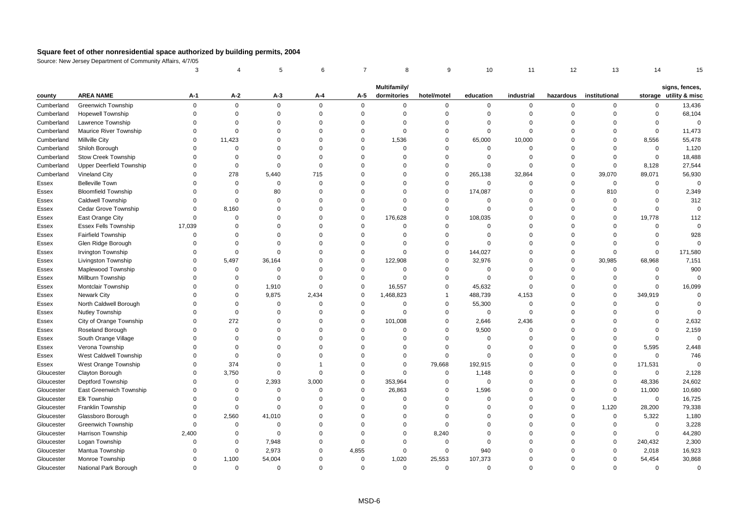|            |                                 | 3           |             | 5           | 6           | $\overline{7}$ | 8                           | 9           | 10             | 11          | 12        | 13            | 14          | 15                                       |
|------------|---------------------------------|-------------|-------------|-------------|-------------|----------------|-----------------------------|-------------|----------------|-------------|-----------|---------------|-------------|------------------------------------------|
|            |                                 |             |             |             |             |                |                             |             |                |             |           |               |             |                                          |
| county     | <b>AREA NAME</b>                | А-1         | $A-2$       | $A-3$       | $A-4$       | A-5            | Multifamily/<br>dormitories | hotel/motel | education      | industrial  | hazardous | institutional |             | signs, fences,<br>storage utility & misc |
| Cumberland | Greenwich Township              | $\mathbf 0$ | $\mathbf 0$ | $\mathbf 0$ | $\mathbf 0$ | $\mathbf 0$    | 0                           | 0           | $\mathbf 0$    | $\mathbf 0$ | $\Omega$  | 0             | 0           | 13,436                                   |
| Cumberland | <b>Hopewell Township</b>        | $\Omega$    | $\mathbf 0$ | $\mathbf 0$ | $\mathbf 0$ | $\mathbf 0$    | $\Omega$                    | $\mathbf 0$ | $\mathbf 0$    | $\mathbf 0$ | $\Omega$  | $\Omega$      | $\mathbf 0$ | 68,104                                   |
| Cumberland | Lawrence Township               | $\Omega$    | $\Omega$    | $\Omega$    | $\Omega$    | $\mathbf 0$    | $\Omega$                    | $\mathbf 0$ | $\Omega$       | $\Omega$    | $\Omega$  | $\Omega$      | $\Omega$    | $\mathbf 0$                              |
| Cumberland | <b>Maurice River Township</b>   | $\Omega$    | $\Omega$    | $\Omega$    | $\Omega$    | $\mathbf 0$    | $\Omega$                    | $\mathbf 0$ | $\Omega$       | $\mathbf 0$ | $\Omega$  | $\Omega$      | $\mathbf 0$ | 11,473                                   |
| Cumberland | Millville City                  | $\Omega$    | 11,423      | $\Omega$    | $\Omega$    | $\mathbf 0$    | 1,536                       | $\mathbf 0$ | 65,000         | 10,000      | $\Omega$  | $\Omega$      | 8,556       | 55,478                                   |
| Cumberland | Shiloh Borough                  | $\Omega$    | $\mathbf 0$ | $\Omega$    | $\Omega$    | $\mathbf 0$    | $\Omega$                    | $\mathbf 0$ | $\mathbf 0$    | $\mathbf 0$ | $\Omega$  | $\Omega$      | $\mathbf 0$ | 1,120                                    |
| Cumberland | <b>Stow Creek Township</b>      | $\Omega$    | $\Omega$    | $\Omega$    | $\Omega$    | $\mathbf 0$    | $\Omega$                    | 0           | $\Omega$       | $\Omega$    | $\Omega$  | $\Omega$      | $\mathbf 0$ | 18,488                                   |
| Cumberland | <b>Upper Deerfield Township</b> | $\Omega$    | $\Omega$    | $\Omega$    | $\Omega$    | $\Omega$       | $\Omega$                    | $\mathbf 0$ | $\Omega$       | $\Omega$    | $\Omega$  | $\Omega$      | 8,128       | 27,544                                   |
| Cumberland | Vineland City                   | $\Omega$    | 278         | 5,440       | 715         | $\mathbf 0$    | $\Omega$                    | $\mathbf 0$ | 265,138        | 32,864      | $\Omega$  | 39,070        | 89,071      | 56,930                                   |
| Essex      | <b>Belleville Town</b>          | $\Omega$    | $\mathbf 0$ | $\mathbf 0$ | $\Omega$    | $\Omega$       | $\Omega$                    | 0           | $\Omega$       | $\mathbf 0$ | $\Omega$  | $\mathbf 0$   | $\mathbf 0$ | $\mathbf 0$                              |
| Essex      | <b>Bloomfield Township</b>      | $\Omega$    | $\Omega$    | 80          | $\Omega$    | $\Omega$       | $\Omega$                    | $\mathbf 0$ | 174,087        | $\Omega$    | $\Omega$  | 810           | $\Omega$    | 2,349                                    |
| Essex      | <b>Caldwell Township</b>        | $\Omega$    | $\mathbf 0$ | $\Omega$    | 0           | $\Omega$       | $\Omega$                    | 0           | 0              | $\Omega$    | $\Omega$  | $\Omega$      | $\Omega$    | 312                                      |
| Essex      | Cedar Grove Township            | $\Omega$    | 8,160       | $\Omega$    | $\Omega$    | $\mathbf 0$    | $\Omega$                    | $\mathbf 0$ | $\Omega$       | $\Omega$    | $\Omega$  | $\Omega$      | $\Omega$    | $\overline{0}$                           |
| Essex      | East Orange City                | $\Omega$    | $\Omega$    | $\Omega$    | $\Omega$    | $\mathbf 0$    | 176,628                     | $\mathbf 0$ | 108,035        | $\Omega$    | $\Omega$  | $\Omega$      | 19,778      | 112                                      |
| Essex      | <b>Essex Fells Township</b>     | 17,039      | $\Omega$    | $\Omega$    | $\Omega$    | $\mathbf 0$    | $\Omega$                    | $\mathbf 0$ | $\Omega$       | $\Omega$    | $\Omega$  | $\Omega$      | $\Omega$    | $\Omega$                                 |
| Essex      | Fairfield Township              | $\Omega$    | $\Omega$    | $\Omega$    | $\Omega$    | $\mathbf 0$    | $\Omega$                    | $\mathbf 0$ | $\Omega$       | $\Omega$    | $\Omega$  | $\Omega$      | $\Omega$    | 928                                      |
| Essex      | Glen Ridge Borough              | $\Omega$    | $\mathbf 0$ | $\Omega$    | $\mathbf 0$ | $\mathbf 0$    | $\Omega$                    | $\mathbf 0$ | $\overline{0}$ | $\Omega$    | $\Omega$  | $\Omega$      | $\mathbf 0$ | $\overline{0}$                           |
| Essex      | <b>Irvington Township</b>       | $\Omega$    | $\mathbf 0$ | $\Omega$    | $\Omega$    | $\mathbf 0$    | $\Omega$                    | $\mathbf 0$ | 144,027        | $\Omega$    | $\Omega$  | $\Omega$      | $\Omega$    | 171,580                                  |
| Essex      | Livingston Township             | $\Omega$    | 5,497       | 36,164      | $\Omega$    | $\mathbf 0$    | 122,908                     | $\mathbf 0$ | 32,976         | $\Omega$    | $\Omega$  | 30,985        | 68,968      | 7,151                                    |
| Essex      | Maplewood Township              | $\Omega$    | $\mathbf 0$ | 0           | $\Omega$    | $\mathbf 0$    | $\mathbf 0$                 | 0           | $\mathbf 0$    | $\Omega$    | $\Omega$  | $\mathbf 0$   | $\Omega$    | 900                                      |
| Essex      | Millburn Township               | $\Omega$    | $\Omega$    | $\mathbf 0$ | $\Omega$    | $\mathbf 0$    | $\Omega$                    | $\mathbf 0$ | $\mathbf 0$    | $\Omega$    | $\Omega$  | $\mathbf 0$   | $\mathbf 0$ | $\mathbf 0$                              |
| Essex      | Montclair Township              | $\Omega$    | $\Omega$    | 1,910       | $\Omega$    | $\mathbf 0$    | 16,557                      | $\mathbf 0$ | 45,632         | $\Omega$    | $\Omega$  | $\Omega$      | $\mathbf 0$ | 16,099                                   |
| Essex      | <b>Newark City</b>              | $\Omega$    | $\mathbf 0$ | 9,875       | 2,434       | $\mathbf 0$    | 1,468,823                   | 1           | 488,739        | 4,153       | $\Omega$  | $\mathbf 0$   | 349,919     | $\Omega$                                 |
| Essex      | North Caldwell Borough          | $\Omega$    | $\mathbf 0$ | $\mathbf 0$ | $\Omega$    | $\mathbf 0$    | $\mathbf 0$                 | $\mathbf 0$ | 55,300         | $\mathbf 0$ | $\Omega$  | $\Omega$      | $\mathbf 0$ | $\Omega$                                 |
| Essex      | Nutley Township                 | $\Omega$    | $\mathbf 0$ | $\Omega$    | $\Omega$    | $\mathbf 0$    | $\Omega$                    | $\mathbf 0$ | $\Omega$       | $\Omega$    | $\Omega$  | $\Omega$      | $\Omega$    | $\Omega$                                 |
| Essex      | City of Orange Township         | $\Omega$    | 272         | $\Omega$    | $\Omega$    | $\mathbf 0$    | 101,008                     | 0           | 2,646          | 2,436       | $\Omega$  | $\Omega$      | $\Omega$    | 2,632                                    |
| Essex      | Roseland Borough                | $\Omega$    | $\mathbf 0$ | $\Omega$    | $\Omega$    | $\mathbf 0$    | $\Omega$                    | $\mathbf 0$ | 9,500          | $\mathbf 0$ | $\Omega$  | $\Omega$      | $\Omega$    | 2,159                                    |
| Essex      | South Orange Village            | $\Omega$    | $\Omega$    | $\Omega$    | $\Omega$    | $\Omega$       | $\Omega$                    | $\mathbf 0$ | $\Omega$       | $\Omega$    | $\Omega$  | $\Omega$      | $\Omega$    | $\Omega$                                 |
| Essex      | Verona Township                 | $\Omega$    | $\Omega$    | $\Omega$    | $\Omega$    | $\Omega$       | $\Omega$                    | $\mathbf 0$ | $\Omega$       | $\Omega$    | $\Omega$  | $\Omega$      | 5,595       | 2,448                                    |
| Essex      | West Caldwell Township          | $\Omega$    | $\mathbf 0$ | $\Omega$    | $\Omega$    | $\Omega$       | $\Omega$                    | $\mathbf 0$ | $\Omega$       | $\Omega$    | $\Omega$  | $\Omega$      | $\mathbf 0$ | 746                                      |
| Essex      | West Orange Township            | $\mathbf 0$ | 374         | $\Omega$    |             | $\mathbf 0$    | $\mathbf 0$                 | 79,668      | 192,915        | $\Omega$    | $\Omega$  | $\mathbf 0$   | 171,531     | $\mathbf 0$                              |
| Gloucester | Clayton Borough                 | $\Omega$    | 3,750       | $\Omega$    | $\Omega$    | $\mathbf 0$    | $\Omega$                    | $\mathbf 0$ | 1,148          | $\Omega$    | $\Omega$  | $\mathbf 0$   | $\mathbf 0$ | 2,128                                    |
| Gloucester | <b>Deptford Township</b>        | $\Omega$    | $\mathbf 0$ | 2,393       | 3,000       | $\mathbf 0$    | 353,964                     | 0           | $\overline{0}$ | $\Omega$    | $\Omega$  | $\mathbf 0$   | 48,336      | 24,602                                   |
| Gloucester | East Greenwich Township         | $\Omega$    | $\Omega$    | $\Omega$    | $\Omega$    | $\mathbf 0$    | 26,863                      | $\mathbf 0$ | 1,596          | $\Omega$    | $\Omega$  | $\mathbf 0$   | 11,000      | 10,680                                   |
| Gloucester | Elk Township                    | $\Omega$    | $\Omega$    | $\Omega$    | $\Omega$    | $\Omega$       | $\Omega$                    | $\Omega$    | $\Omega$       | $\Omega$    | $\Omega$  | $\mathbf 0$   | $\mathsf 0$ | 16,725                                   |
| Gloucester | Franklin Township               | $\Omega$    | $\Omega$    | $\mathbf 0$ | $\Omega$    | $\mathbf 0$    | $\Omega$                    | $\mathbf 0$ | $\Omega$       | $\Omega$    | $\Omega$  | 1,120         | 28,200      | 79,338                                   |
| Gloucester | Glassboro Borough               | $\Omega$    | 2,560       | 41,010      | $\Omega$    | $\Omega$       | $\Omega$                    | $\mathbf 0$ | $\Omega$       | $\Omega$    | $\Omega$  | $\mathbf 0$   | 5,322       | 1,180                                    |
| Gloucester | <b>Greenwich Township</b>       | $\mathbf 0$ | $\mathbf 0$ | $\mathbf 0$ | $\mathbf 0$ | $\Omega$       | $\Omega$                    | $\mathbf 0$ | $\Omega$       | $\Omega$    | $\Omega$  | 0             | $\mathbf 0$ | 3,228                                    |
| Gloucester | <b>Harrison Township</b>        | 2,400       | $\Omega$    | $\Omega$    | $\Omega$    | $\Omega$       | $\Omega$                    | 8,240       | $\Omega$       | $\Omega$    | $\Omega$  | $\mathbf 0$   | $\mathbf 0$ | 44,280                                   |
| Gloucester | Logan Township                  | $\Omega$    | $\Omega$    | 7,948       | $\Omega$    | $\Omega$       | $\Omega$                    | $\mathbf 0$ | $\Omega$       | $\Omega$    | $\Omega$  | $\Omega$      | 240,432     | 2,300                                    |
| Gloucester | Mantua Township                 | $\Omega$    | $\mathbf 0$ | 2,973       | $\Omega$    | 4,855          | $\Omega$                    | 0           | 940            | $\Omega$    | $\Omega$  | $\Omega$      | 2,018       | 16,923                                   |
| Gloucester | Monroe Township                 | $\Omega$    | 1,100       | 54,004      | $\Omega$    | $\mathbf 0$    | 1,020                       | 25,553      | 107,373        | $\Omega$    | $\Omega$  | $\Omega$      | 54,454      | 30,868                                   |
| Gloucester | National Park Borough           | $\Omega$    | $\Omega$    | $\Omega$    | $\Omega$    | $\Omega$       | $\Omega$                    | $\Omega$    | $\Omega$       | $\Omega$    | $\Omega$  | $\Omega$      | $\Omega$    | $\Omega$                                 |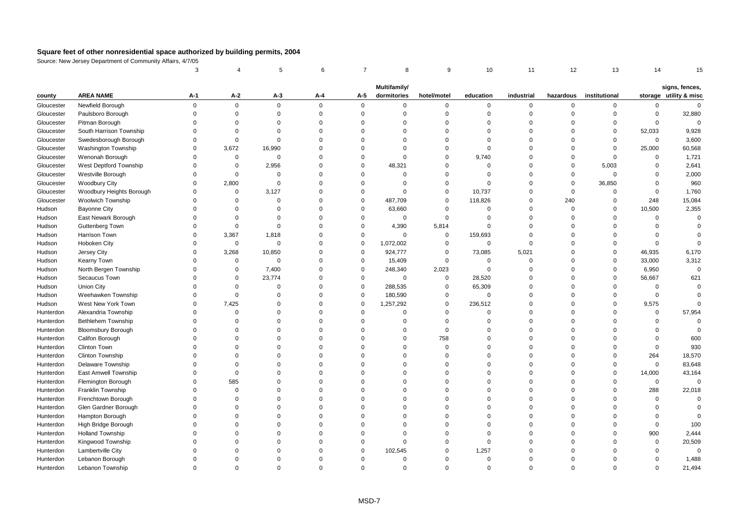|            |                            | 3           |                     | 5           | 6           | $\overline{7}$ | 8                           | 9           | 10          | 11          | 12        | 13            | 14          | 15                                       |
|------------|----------------------------|-------------|---------------------|-------------|-------------|----------------|-----------------------------|-------------|-------------|-------------|-----------|---------------|-------------|------------------------------------------|
|            |                            |             |                     |             |             |                |                             |             |             |             |           |               |             |                                          |
| county     | <b>AREA NAME</b>           | A-1         | $A-2$               | $A-3$       | A-4         | A-5            | Multifamily/<br>dormitories | hotel/motel | education   | industrial  | hazardous | institutional |             | signs, fences,<br>storage utility & misc |
| Gloucester | Newfield Borough           | $\mathbf 0$ | $\mathbf 0$         | $\mathbf 0$ | $\mathbf 0$ | $\mathbf 0$    | $\mathbf 0$                 | 0           | 0           | $\mathbf 0$ | $\Omega$  | 0             | $\mathbf 0$ | $\mathbf 0$                              |
| Gloucester | Paulsboro Borough          | $\Omega$    | $\mathsf{O}\xspace$ | $\mathbf 0$ | $\mathbf 0$ | $\mathbf 0$    | $\Omega$                    | $\mathbf 0$ | $\mathbf 0$ | $\mathbf 0$ | $\Omega$  | $\Omega$      | $\mathbf 0$ | 32,880                                   |
| Gloucester | Pitman Borough             | $\Omega$    | $\mathbf 0$         | $\Omega$    | $\Omega$    | $\mathbf 0$    | $\Omega$                    | $\mathbf 0$ | $\Omega$    | $\Omega$    | $\Omega$  | $\Omega$      | $\mathbf 0$ | $\Omega$                                 |
| Gloucester | South Harrison Township    | $\Omega$    | $\Omega$            | $\Omega$    | $\Omega$    | $\Omega$       | $\Omega$                    | $\Omega$    | $\Omega$    | $\Omega$    | $\Omega$  | $\Omega$      | 52,033      | 9,928                                    |
| Gloucester | Swedesborough Borough      | $\Omega$    | $\mathbf 0$         | $\mathbf 0$ | $\Omega$    | $\mathbf 0$    | $\Omega$                    | $\mathbf 0$ | $\Omega$    | $\Omega$    | $\Omega$  | $\Omega$      | $\mathbf 0$ | 3,600                                    |
| Gloucester | <b>Washington Township</b> | $\Omega$    | 3,672               | 16,990      | $\Omega$    | $\mathbf 0$    | $\Omega$                    | $\mathbf 0$ | $\mathbf 0$ | $\mathbf 0$ | $\Omega$  | $\mathsf 0$   | 25,000      | 60,568                                   |
| Gloucester | Wenonah Borough            | $\Omega$    | $\mathbf 0$         | $\mathsf 0$ | $\Omega$    | $\mathbf 0$    | $\Omega$                    | $\mathbf 0$ | 9,740       | $\Omega$    | $\Omega$  | $\mathbf 0$   | $\mathbf 0$ | 1,721                                    |
| Gloucester | West Deptford Township     | $\Omega$    | $\mathbf 0$         | 2,956       | $\Omega$    | $\mathbf 0$    | 48,321                      | $\mathbf 0$ | $\Omega$    | $\Omega$    | $\Omega$  | 5,003         | $\mathbf 0$ | 2,641                                    |
| Gloucester | Westville Borough          | $\Omega$    | $\mathbf 0$         | $\Omega$    | $\Omega$    | $\mathbf 0$    | $\Omega$                    | $\mathbf 0$ | $\Omega$    | $\Omega$    | $\Omega$  | $\mathsf 0$   | $\Omega$    | 2,000                                    |
| Gloucester | <b>Woodbury City</b>       | $\Omega$    | 2,800               | $\Omega$    | $\Omega$    | $\mathbf 0$    | $\Omega$                    | $\Omega$    | $\Omega$    | $\Omega$    | $\Omega$  | 36,850        | $\Omega$    | 960                                      |
| Gloucester | Woodbury Heights Borough   | $\Omega$    | $\mathbf 0$         | 3,127       | $\Omega$    | $\mathbf 0$    | $\Omega$                    | $\mathbf 0$ | 10,737      | $\Omega$    | $\Omega$  | $\Omega$      | $\mathbf 0$ | 1,760                                    |
| Gloucester | <b>Woolwich Township</b>   | $\Omega$    | $\mathbf 0$         | $\mathbf 0$ | $\Omega$    | $\mathbf 0$    | 487,709                     | $\mathbf 0$ | 118,826     | $\Omega$    | 240       | $\mathbf 0$   | 248         | 15,084                                   |
| Hudson     | <b>Bayonne City</b>        | $\Omega$    | $\mathbf 0$         | $\mathbf 0$ | $\mathbf 0$ | $\mathbf 0$    | 63,660                      | $\mathbf 0$ | $\mathbf 0$ | $\Omega$    | $\Omega$  | $\mathbf 0$   | 10,500      | 2,355                                    |
| Hudson     | East Newark Borough        | $\Omega$    | $\mathbf 0$         | $\Omega$    | $\Omega$    | $\mathbf 0$    | $\mathbf 0$                 | $\mathbf 0$ | $\Omega$    | $\Omega$    | $\Omega$  | $\Omega$      | $\mathbf 0$ | $\mathbf 0$                              |
| Hudson     | Guttenberg Town            | $\Omega$    | $\mathbf 0$         | $\Omega$    | $\Omega$    | $\mathbf 0$    | 4,390                       | 5,814       | $\Omega$    | $\Omega$    | $\Omega$  | $\Omega$      | $\Omega$    | $\Omega$                                 |
| Hudson     | Harrison Town              | $\Omega$    | 3,367               | 1,818       | $\Omega$    | $\mathbf 0$    | $\mathbf 0$                 | $\mathbf 0$ | 159,693     | $\Omega$    | $\Omega$  | $\Omega$      | $\Omega$    | $\Omega$                                 |
| Hudson     | Hoboken City               | $\Omega$    | $\mathsf 0$         | $\mathsf 0$ | $\mathbf 0$ | $\mathsf 0$    | 1,072,002                   | $\mathbf 0$ | $\mathbf 0$ | $\Omega$    | $\Omega$  | $\Omega$      | $\mathbf 0$ | $\mathbf 0$                              |
| Hudson     | Jersey City                | $\Omega$    | 3,268               | 10,850      | $\Omega$    | $\mathbf 0$    | 924,777                     | $\mathbf 0$ | 73,085      | 5,021       | $\Omega$  | $\Omega$      | 46,935      | 6,170                                    |
| Hudson     | Kearny Town                | $\Omega$    | $\mathbf 0$         | $\mathbf 0$ | $\Omega$    | $\mathbf 0$    | 15,409                      | 0           | 0           | $\mathbf 0$ | $\Omega$  | $\Omega$      | 33,000      | 3,312                                    |
| Hudson     | North Bergen Township      | $\Omega$    | $\mathbf 0$         | 7,400       | $\mathbf 0$ | $\mathbf 0$    | 248,340                     | 2,023       | $\mathbf 0$ | $\Omega$    | $\Omega$  | $\mathbf 0$   | 6,950       | $\mathbf 0$                              |
| Hudson     | Secaucus Town              | $\Omega$    | $\mathbf 0$         | 23,774      | $\Omega$    | $\mathbf 0$    | $\mathbf 0$                 | $\mathbf 0$ | 28,520      | $\Omega$    | $\Omega$  | $\Omega$      | 56,667      | 621                                      |
| Hudson     | Union City                 | $\Omega$    | $\mathbf 0$         | $\mathbf 0$ | $\mathbf 0$ | $\mathbf 0$    | 288,535                     | $\mathbf 0$ | 65,309      | $\Omega$    | $\Omega$  | $\Omega$      | $\mathbf 0$ | $\Omega$                                 |
| Hudson     | Weehawken Township         | $\Omega$    | $\mathbf 0$         | $\Omega$    | $\mathbf 0$ | $\mathbf 0$    | 180,590                     | $\mathbf 0$ | $\mathbf 0$ | $\Omega$    | $\Omega$  | $\Omega$      | $\mathbf 0$ | $\Omega$                                 |
| Hudson     | West New York Town         | $\Omega$    | 7,425               | $\mathbf 0$ | 0           | $\mathbf 0$    | 1,257,292                   | $\mathbf 0$ | 236,512     | $\Omega$    | $\Omega$  | $\mathbf 0$   | 9,575       | $\Omega$                                 |
| Hunterdon  | Alexandria Township        | $\Omega$    | $\Omega$            | $\Omega$    | $\Omega$    | $\mathbf 0$    | $\Omega$                    | $\mathbf 0$ | $\Omega$    | $\Omega$    | $\Omega$  | $\Omega$      | $\Omega$    | 57,954                                   |
| Hunterdon  | Bethlehem Township         | $\Omega$    | $\mathbf 0$         | $\Omega$    | $\Omega$    | $\mathbf 0$    | $\Omega$                    | 0           | $\Omega$    | $\Omega$    | $\Omega$  | $\Omega$      | 0           | $\Omega$                                 |
| Hunterdon  | <b>Bloomsbury Borough</b>  | $\Omega$    | $\Omega$            | $\Omega$    | $\mathbf 0$ | $\mathbf 0$    | $\Omega$                    | $\mathbf 0$ | $\mathbf 0$ | $\Omega$    | $\Omega$  | $\Omega$      | $\mathbf 0$ | $\overline{0}$                           |
| Hunterdon  | Califon Borough            | $\Omega$    | $\Omega$            | $\Omega$    | $\Omega$    | $\Omega$       | $\Omega$                    | 758         | $\Omega$    | $\Omega$    | $\Omega$  | $\Omega$      | $\Omega$    | 600                                      |
| Hunterdon  | <b>Clinton Town</b>        | $\Omega$    | $\Omega$            | $\Omega$    | $\Omega$    | $\Omega$       | $\Omega$                    | $\mathbf 0$ | $\Omega$    | $\Omega$    | $\Omega$  | $\Omega$      | $\mathbf 0$ | 930                                      |
| Hunterdon  | Clinton Township           | $\Omega$    | $\Omega$            | $\Omega$    | $\Omega$    | $\Omega$       | $\Omega$                    | $\mathbf 0$ | $\Omega$    | $\Omega$    | $\Omega$  | $\Omega$      | 264         | 18,570                                   |
| Hunterdon  | Delaware Township          | $\Omega$    | $\mathbf 0$         | $\Omega$    | $\Omega$    | $\mathbf 0$    | $\Omega$                    | $\mathbf 0$ | $\Omega$    | $\Omega$    | $\Omega$  | $\Omega$      | $\mathbf 0$ | 83,648                                   |
| Hunterdon  | East Amwell Township       | $\Omega$    | $\mathbf 0$         | $\Omega$    | $\Omega$    | $\Omega$       | $\Omega$                    | $\mathbf 0$ | $\Omega$    | $\Omega$    | $\Omega$  | $\mathbf 0$   | 14,000      | 43,164                                   |
| Hunterdon  | Flemington Borough         | $\Omega$    | 585                 | $\Omega$    | $\Omega$    | $\Omega$       | $\Omega$                    | $\mathbf 0$ | $\Omega$    | $\Omega$    | $\Omega$  | $\Omega$      | $\mathbf 0$ | $\mathbf 0$                              |
| Hunterdon  | Franklin Township          | $\Omega$    | $\mathbf 0$         | $\Omega$    | $\Omega$    | $\mathbf 0$    | $\Omega$                    | $\mathbf 0$ | $\Omega$    | $\Omega$    | $\Omega$  | $\Omega$      | 288         | 22,018                                   |
| Hunterdon  | Frenchtown Borough         | $\Omega$    | $\mathbf 0$         | $\Omega$    | $\Omega$    | $\mathbf{0}$   | $\Omega$                    | $\mathbf 0$ | $\Omega$    | $\mathbf 0$ | $\Omega$  | $\Omega$      | $\mathbf 0$ | $\Omega$                                 |
| Hunterdon  | Glen Gardner Borough       | $\Omega$    | $\Omega$            | $\Omega$    | $\Omega$    | $\Omega$       | $\Omega$                    | $\Omega$    | $\Omega$    | $\Omega$    | $\Omega$  | $\Omega$      | $\Omega$    | $\Omega$                                 |
| Hunterdon  | Hampton Borough            | $\Omega$    | $\Omega$            | $\Omega$    | $\Omega$    | $\mathbf 0$    | $\Omega$                    | $\mathbf 0$ | $\Omega$    | $\Omega$    | $\Omega$  | $\Omega$      | $\mathbf 0$ | $\overline{0}$                           |
| Hunterdon  | High Bridge Borough        | $\Omega$    | $\Omega$            | $\Omega$    | $\Omega$    | $\mathbf 0$    | $\Omega$                    | $\mathbf 0$ | $\Omega$    | $\Omega$    | $\Omega$  | $\Omega$      | $\mathbf 0$ | 100                                      |
| Hunterdon  | <b>Holland Township</b>    | $\Omega$    | $\Omega$            | $\Omega$    | $\Omega$    | $\mathbf 0$    | $\Omega$                    | $\mathbf 0$ | $\Omega$    | $\Omega$    | $\Omega$  | $\Omega$      | 900         | 2,444                                    |
| Hunterdon  | Kingwood Township          | $\Omega$    | $\Omega$            | $\Omega$    | $\Omega$    | $\Omega$       | $\Omega$                    | $\mathbf 0$ | $\Omega$    | $\Omega$    | $\Omega$  | $\Omega$      | $\mathbf 0$ | 20,509                                   |
| Hunterdon  | Lambertville City          | O           | $\Omega$            | $\Omega$    | $\Omega$    | $\mathbf 0$    | 102,545                     | $\Omega$    | 1,257       | $\Omega$    | $\Omega$  | $\Omega$      | $\Omega$    | $\mathbf 0$                              |
| Hunterdon  | Lebanon Borough            | $\Omega$    | $\Omega$            | $\Omega$    | $\Omega$    | $\mathbf 0$    | $\Omega$                    | $\mathbf 0$ | $\mathbf 0$ | $\Omega$    | $\Omega$  | $\Omega$      | $\mathbf 0$ | 1,488                                    |
| Hunterdon  | Lebanon Township           | $\Omega$    | $\Omega$            | $\Omega$    | $\Omega$    | $\Omega$       | $\Omega$                    | $\Omega$    | $\Omega$    | $\Omega$    | $\Omega$  | $\Omega$      | $\Omega$    | 21,494                                   |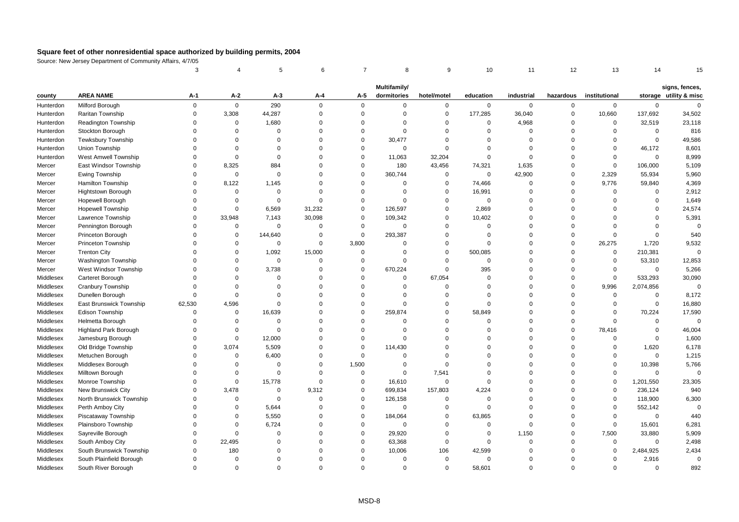|           |                              | 3           |             | 5           | 6           | $\overline{7}$ | 8            | 9           | 10          | 11          | 12             | 13            | 14          | 15                                       |
|-----------|------------------------------|-------------|-------------|-------------|-------------|----------------|--------------|-------------|-------------|-------------|----------------|---------------|-------------|------------------------------------------|
|           |                              |             |             |             |             |                | Multifamily/ |             |             |             |                |               |             |                                          |
| county    | <b>AREA NAME</b>             | А-1         | $A-2$       | $A-3$       | A-4         | A-5            | dormitories  | hotel/motel | education   | industrial  | hazardous      | institutional |             | signs, fences,<br>storage utility & misc |
| Hunterdon | Milford Borough              | $\mathbf 0$ | $\mathbf 0$ | 290         | 0           | $\mathbf 0$    | $\mathbf 0$  | 0           | 0           | $\mathbf 0$ | 0              | $\mathbf 0$   | $\mathbf 0$ | $\Omega$                                 |
| Hunterdon | Raritan Township             | $\mathbf 0$ | 3,308       | 44,287      | 0           | $\mathbf 0$    | $\mathbf 0$  | $\Omega$    | 177,285     | 36,040      | $\mathbf 0$    | 10,660        | 137,692     | 34,502                                   |
| Hunterdon | Readington Township          | $\mathbf 0$ | $\mathbf 0$ | 1,680       | 0           | $\mathbf 0$    | $\mathbf 0$  | $\Omega$    | $\mathbf 0$ | 4,968       | $\mathsf 0$    | $\mathbf 0$   | 32,519      | 23,118                                   |
| Hunterdon | Stockton Borough             | $\Omega$    | $\Omega$    | $\Omega$    | $\Omega$    | $\Omega$       | $\Omega$     | $\Omega$    | $\Omega$    | $\Omega$    | $\Omega$       | $\Omega$      | $\Omega$    | 816                                      |
| Hunterdon | Tewksbury Township           | $\Omega$    | $\Omega$    | $\Omega$    | $\mathbf 0$ | $\mathbf 0$    | 30,477       | $\Omega$    | $\Omega$    | $\mathbf 0$ | $\Omega$       | $\mathbf 0$   | $\mathbf 0$ | 49,586                                   |
| Hunterdon | Union Township               | $\Omega$    | $\Omega$    | $\Omega$    | $\mathbf 0$ | $\mathbf 0$    | $\mathbf 0$  | $\Omega$    | $\Omega$    | $\mathbf 0$ | $\mathbf 0$    | $\mathbf 0$   | 46,172      | 8,601                                    |
| Hunterdon | West Amwell Township         | $\Omega$    | $\Omega$    | $\Omega$    | 0           | $\mathbf 0$    | 11,063       | 32,204      | $\mathbf 0$ | $\mathbf 0$ | $\mathsf 0$    | $\mathbf 0$   | $\mathbf 0$ | 8,999                                    |
| Mercer    | East Windsor Township        | $\Omega$    | 8,325       | 884         | 0           | $\mathbf 0$    | 180          | 43,456      | 74,321      | 1,635       | $\mathsf 0$    | $\mathbf 0$   | 106,000     | 5,109                                    |
| Mercer    | Ewing Township               | $\Omega$    | $\Omega$    | $\mathbf 0$ | $\Omega$    | $\overline{0}$ | 360,744      | $\Omega$    | $\mathbf 0$ | 42,900      | $\Omega$       | 2,329         | 55,934      | 5,960                                    |
| Mercer    | Hamilton Township            | $\Omega$    | 8,122       | 1,145       | $\Omega$    | $\mathbf 0$    | $\mathbf 0$  | $\Omega$    | 74,466      | $\mathbf 0$ | $\Omega$       | 9,776         | 59,840      | 4,369                                    |
| Mercer    | Hightstown Borough           | $\Omega$    | $\Omega$    | $\mathsf 0$ | $\mathbf 0$ | $\mathbf 0$    | $\mathbf 0$  | $\Omega$    | 16,991      | $\mathbf 0$ | $\mathsf 0$    | $\mathbf 0$   | $\Omega$    | 2,912                                    |
| Mercer    | Hopewell Borough             | $\Omega$    | $\mathbf 0$ | $\mathsf 0$ | 0           | $\mathbf 0$    | $\mathbf 0$  | $\Omega$    | $\mathsf 0$ | $\mathbf 0$ | $\mathsf 0$    | $\mathbf 0$   | $\Omega$    | 1,649                                    |
| Mercer    | <b>Hopewell Township</b>     | $\Omega$    | $\Omega$    | 6,569       | 31,232      | $\mathbf 0$    | 126,597      | $\Omega$    | 2,869       | $\Omega$    | $\mathbf 0$    | $\Omega$      | $\Omega$    | 24,574                                   |
| Mercer    | Lawrence Township            | $\Omega$    | 33,948      | 7,143       | 30,098      | $\mathbf 0$    | 109,342      | $\Omega$    | 10,402      | $\Omega$    | $\mathbf 0$    | $\Omega$      | $\Omega$    | 5,391                                    |
| Mercer    | Pennington Borough           | $\Omega$    | $\mathbf 0$ | $\Omega$    | $\Omega$    | $\mathbf 0$    | $\mathbf 0$  | $\Omega$    | $\Omega$    | $\Omega$    | $\mathbf 0$    | $\Omega$      | $\Omega$    | $\mathbf 0$                              |
| Mercer    | Princeton Borough            | $\Omega$    | $\mathsf 0$ | 144,640     | 0           | $\mathbf 0$    | 293,387      | $\Omega$    | $\mathbf 0$ | 0           | $\mathbf 0$    | $\mathbf 0$   | $\Omega$    | 540                                      |
| Mercer    | Princeton Township           | $\Omega$    | $\Omega$    | $\mathbf 0$ | $\Omega$    | 3,800          | $\mathbf 0$  | $\Omega$    | $\Omega$    | $\Omega$    | $\Omega$       | 26,275        | 1,720       | 9,532                                    |
| Mercer    | <b>Trenton City</b>          | $\Omega$    | $\Omega$    | 1,092       | 15,000      | $\mathbf 0$    | $\mathbf 0$  | $\Omega$    | 500,085     | $\mathbf 0$ | $\overline{0}$ | $\mathbf 0$   | 210,381     | $\Omega$                                 |
| Mercer    | <b>Washington Township</b>   | $\Omega$    | $\Omega$    | 0           | 0           | $\mathbf 0$    | $\mathbf 0$  | $\Omega$    | $\mathbf 0$ | $\Omega$    | $\mathbf 0$    | $\mathbf 0$   | 53,310      | 12,853                                   |
| Mercer    | West Windsor Township        | $\Omega$    | $\Omega$    | 3,738       | $\Omega$    | $\mathbf 0$    | 670,224      | $\Omega$    | 395         | $\mathbf 0$ | $\mathsf 0$    | $\mathbf 0$   | $\Omega$    | 5,266                                    |
| Middlesex | Carteret Borough             | $\Omega$    | $\Omega$    | $\Omega$    | $\Omega$    | $\mathbf 0$    | $\mathbf 0$  | 67,054      | $\Omega$    | $\Omega$    | $\mathbf 0$    | $\mathbf 0$   | 533,293     | 30,090                                   |
| Middlesex | Cranbury Township            | $\Omega$    | $\Omega$    | $\Omega$    | $\mathbf 0$ | $\mathbf 0$    | $\mathbf 0$  | $\Omega$    | $\Omega$    | $\mathbf 0$ | $\mathbf 0$    | 9,996         | 2,074,856   | $\mathbf 0$                              |
| Middlesex | Dunellen Borough             | $\Omega$    | $\Omega$    | $\Omega$    | $\Omega$    | $\mathbf 0$    | $\Omega$     | $\Omega$    | $\Omega$    | $\Omega$    | $\overline{0}$ | $\mathbf 0$   | $\Omega$    | 8,172                                    |
| Middlesex | East Brunswick Township      | 62,530      | 4,596       | $\Omega$    | 0           | $\mathbf 0$    | $\mathbf 0$  | $\Omega$    | $\Omega$    | $\Omega$    | $\mathsf 0$    | $\mathbf 0$   | $\mathbf 0$ | 16,880                                   |
| Middlesex | Edison Township              | $\Omega$    | $\mathbf 0$ | 16,639      | $\Omega$    | $\mathbf 0$    | 259,874      | $\Omega$    | 58,849      | $\Omega$    | $\mathsf 0$    | $\mathbf 0$   | 70,224      | 17,590                                   |
| Middlesex | Helmetta Borough             | $\Omega$    | $\Omega$    | $\mathbf 0$ | $\Omega$    | $\mathbf 0$    | $\mathbf 0$  | $\Omega$    | $\Omega$    | $\Omega$    | $\mathbf 0$    | $\mathbf 0$   | $\Omega$    | $\Omega$                                 |
| Middlesex | <b>Highland Park Borough</b> | $\Omega$    | $\Omega$    | $\Omega$    | $\mathbf 0$ | $\mathbf 0$    | $\Omega$     | $\Omega$    | $\Omega$    | $\Omega$    | $\Omega$       | 78,416        | $\Omega$    | 46,004                                   |
| Middlesex | Jamesburg Borough            | $\Omega$    | $\Omega$    | 12,000      | $\mathbf 0$ | $\overline{0}$ | $\mathbf 0$  | $\Omega$    | $\Omega$    | $\Omega$    | $\mathsf 0$    | $\mathbf 0$   | $\Omega$    | 1,600                                    |
| Middlesex | Old Bridge Township          | $\Omega$    | 3,074       | 5,509       | 0           | $\overline{0}$ | 114,430      | $\Omega$    | $\Omega$    | 0           | $\overline{0}$ | $\mathbf 0$   | 1,620       | 6,178                                    |
| Middlesex | Metuchen Borough             | $\Omega$    | $\Omega$    | 6,400       | $\mathbf 0$ | $\mathbf 0$    | $\mathbf 0$  | $\Omega$    | $\Omega$    | $\Omega$    | $\mathbf 0$    | $\mathbf 0$   | $\Omega$    | 1,215                                    |
| Middlesex | Middlesex Borough            | $\Omega$    | $\Omega$    | $\Omega$    | $\Omega$    | 1,500          | $\mathbf 0$  | $\Omega$    | $\Omega$    | $\Omega$    | $\Omega$       | $\mathbf 0$   | 10,398      | 5,766                                    |
| Middlesex | Milltown Borough             | $\Omega$    | $\Omega$    | $\Omega$    | $\Omega$    | $\mathbf 0$    | $\mathbf 0$  | 7,541       | $\Omega$    | $\Omega$    | $\Omega$       | $\mathbf 0$   | $\Omega$    | $\Omega$                                 |
| Middlesex | Monroe Township              | $\Omega$    | $\Omega$    | 15,778      | 0           | $\mathbf 0$    | 16,610       | $\Omega$    | $\Omega$    | $\Omega$    | $\Omega$       | $\mathbf 0$   | 1,201,550   | 23,305                                   |
| Middlesex | New Brunswick City           | $\Omega$    | 3,478       | $\mathbf 0$ | 9,312       | $\mathbf 0$    | 699,834      | 157,803     | 4,224       | $\Omega$    | $\Omega$       | $\mathbf 0$   | 236,124     | 940                                      |
| Middlesex | North Brunswick Township     | $\Omega$    | $\Omega$    | $\mathbf 0$ | $\mathbf 0$ | $\mathbf 0$    | 126,158      | $\Omega$    | $\Omega$    | $\Omega$    | $\mathbf 0$    | $\mathbf 0$   | 118,900     | 6,300                                    |
| Middlesex | Perth Amboy City             | $\Omega$    | $\Omega$    | 5,644       | $\Omega$    | $\mathbf 0$    | $\mathbf 0$  | $\Omega$    | $\mathbf 0$ | $\Omega$    | $\Omega$       | $\mathbf 0$   | 552,142     | $\mathbf 0$                              |
| Middlesex | Piscataway Township          | $\Omega$    | $\Omega$    | 5,550       | $\mathbf 0$ | $\mathbf 0$    | 184,064      | $\Omega$    | 63,865      | $\mathbf 0$ | $\Omega$       | $\mathbf 0$   | $\Omega$    | 440                                      |
| Middlesex | Plainsboro Township          | $\Omega$    | $\Omega$    | 6,724       | $\Omega$    | $\mathbf 0$    | $\mathbf 0$  | $\Omega$    | $\Omega$    | $\mathbf 0$ | $\mathbf 0$    | $\mathbf 0$   | 15,601      | 6,281                                    |
| Middlesex | Sayreville Borough           | $\Omega$    | $\Omega$    | $\Omega$    | $\Omega$    | $\mathbf 0$    | 29,920       | $\Omega$    | $\mathbf 0$ | 1,150       | $\mathbf 0$    | 7,500         | 33,880      | 5,909                                    |
| Middlesex | South Amboy City             | $\Omega$    | 22,495      | $\Omega$    | $\mathbf 0$ | $\mathbf 0$    | 63,368       | $\Omega$    | $\Omega$    | $\mathbf 0$ | $\Omega$       | $\mathbf 0$   | $\Omega$    | 2,498                                    |
| Middlesex | South Brunswick Township     | $\Omega$    | 180         | $\Omega$    | $\Omega$    | $\mathbf 0$    | 10,006       | 106         | 42,599      | $\Omega$    | $\Omega$       | $\mathbf 0$   | 2,484,925   | 2,434                                    |
| Middlesex | South Plainfield Borough     | $\Omega$    | $\Omega$    | $\Omega$    | $\Omega$    | $\Omega$       | $\Omega$     | $\Omega$    | $\Omega$    | $\Omega$    | $\Omega$       | $\Omega$      | 2,916       | $\Omega$                                 |
| Middlesex | South River Borough          | $\Omega$    | $\Omega$    | $\Omega$    | $\Omega$    | $\Omega$       | $\mathbf 0$  | $\Omega$    | 58,601      | $\Omega$    | $\Omega$       | $\Omega$      | $\Omega$    | 892                                      |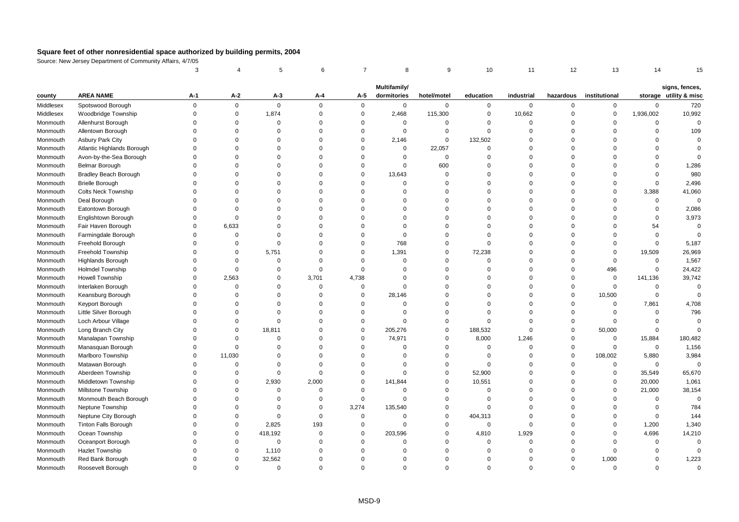|           |                              | 3           |             | 5           | 6           | $\overline{7}$ | 8            | 9           | 10          | 11          | 12          | 13            | 14          | 15                                       |
|-----------|------------------------------|-------------|-------------|-------------|-------------|----------------|--------------|-------------|-------------|-------------|-------------|---------------|-------------|------------------------------------------|
|           |                              |             |             |             |             |                | Multifamily/ |             |             |             |             |               |             |                                          |
| county    | <b>AREA NAME</b>             | A-1         | $A-2$       | $A-3$       | A-4         | A-5            | dormitories  | hotel/motel | education   | industrial  | hazardous   | institutional |             | signs, fences,<br>storage utility & misc |
| Middlesex | Spotswood Borough            | $\mathsf 0$ | $\mathbf 0$ | $\mathsf 0$ | $\mathbf 0$ | $\mathbf 0$    | $\mathbf 0$  | 0           | $\mathbf 0$ | $\mathbf 0$ | $\mathbf 0$ | 0             | $\mathbf 0$ | 720                                      |
| Middlesex | Woodbridge Township          | $\mathbf 0$ | $\mathsf 0$ | 1,874       | $\mathbf 0$ | $\pmb{0}$      | 2,468        | 115,300     | $\mathbf 0$ | 10,662      | $\mathbf 0$ | $\mathbf 0$   | 1,936,002   | 10,992                                   |
| Monmouth  | Allenhurst Borough           | $\Omega$    | $\Omega$    | $\Omega$    | $\Omega$    | $\mathbf 0$    | $\mathbf 0$  | $\Omega$    | $\Omega$    | $\Omega$    | $\mathbf 0$ | $\Omega$      | 0           | $\Omega$                                 |
| Monmouth  | Allentown Borough            | $\Omega$    | $\Omega$    | $\Omega$    | $\Omega$    | $\mathbf 0$    | $\mathbf 0$  | $\Omega$    | $\Omega$    | $\Omega$    | $\mathbf 0$ | $\Omega$      | $\Omega$    | 109                                      |
| Monmouth  | Asbury Park City             | $\Omega$    | $\Omega$    | $\Omega$    | $\Omega$    | $\mathbf 0$    | 2,146        | $\mathbf 0$ | 132,502     | $\Omega$    | $\mathbf 0$ | $\Omega$      | $\Omega$    | $\mathbf 0$                              |
| Monmouth  | Atlantic Highlands Borough   | $\Omega$    | $\Omega$    | $\Omega$    | $\Omega$    | $\mathbf 0$    | $\mathsf 0$  | 22,057      | $\mathbf 0$ | $\mathbf 0$ | $\mathbf 0$ | $\Omega$      | $\mathsf 0$ | $\Omega$                                 |
| Monmouth  | Avon-by-the-Sea Borough      | $\Omega$    | $\Omega$    | $\Omega$    | $\Omega$    | $\Omega$       | $\Omega$     | $\mathsf 0$ | $\mathbf 0$ | $\Omega$    | $\mathbf 0$ | $\Omega$      | $\Omega$    | $\Omega$                                 |
| Monmouth  | <b>Belmar Borough</b>        | $\Omega$    | $\Omega$    | $\Omega$    | $\Omega$    | $\mathbf 0$    | $\mathbf 0$  | 600         | $\Omega$    | $\Omega$    | $\mathbf 0$ | $\Omega$      | $\mathsf 0$ | 1,286                                    |
| Monmouth  | <b>Bradley Beach Borough</b> | $\Omega$    | $\Omega$    | $\Omega$    | $\Omega$    | $\mathbf 0$    | 13,643       | $\Omega$    | $\Omega$    | $\Omega$    | $\mathbf 0$ | $\Omega$      | $\mathbf 0$ | 980                                      |
| Monmouth  | <b>Brielle Borough</b>       | $\Omega$    | $\Omega$    | $\Omega$    | $\Omega$    | $\mathbf 0$    | $\Omega$     | $\Omega$    | $\Omega$    | $\Omega$    | $\Omega$    | $\Omega$      | $\mathbf 0$ | 2,496                                    |
| Monmouth  | <b>Colts Neck Township</b>   | $\Omega$    | $\Omega$    | $\Omega$    | $\Omega$    | $\mathbf 0$    | $\Omega$     | $\Omega$    | $\Omega$    | $\Omega$    | $\mathbf 0$ | $\Omega$      | 3,388       | 41,060                                   |
| Monmouth  | Deal Borough                 | $\Omega$    | $\Omega$    | $\Omega$    | $\Omega$    | $\Omega$       | $\Omega$     | $\Omega$    | $\Omega$    | $\Omega$    | $\mathbf 0$ | $\Omega$      | $\mathsf 0$ | $\mathsf 0$                              |
| Monmouth  | Eatontown Borough            | $\Omega$    | $\Omega$    | $\Omega$    | $\Omega$    | $\Omega$       | $\Omega$     | $\mathbf 0$ | $\Omega$    | $\mathbf 0$ | $\mathbf 0$ | $\Omega$      | $\mathsf 0$ | 2,086                                    |
| Monmouth  | Englishtown Borough          | $\Omega$    | $\Omega$    | $\Omega$    | $\Omega$    | $\Omega$       | $\Omega$     | $\Omega$    | $\Omega$    | $\Omega$    | $\mathbf 0$ | $\Omega$      | $\mathbf 0$ | 3,973                                    |
| Monmouth  | Fair Haven Borough           | $\Omega$    | 6,633       | $\Omega$    | O           | $\Omega$       | $\Omega$     | $\Omega$    | $\Omega$    | $\Omega$    | $\mathbf 0$ | $\Omega$      | 54          | $\overline{0}$                           |
| Monmouth  | Farmingdale Borough          | $\Omega$    | $\Omega$    | $\Omega$    | $\Omega$    | $\Omega$       | $\mathbf 0$  | $\Omega$    | $\Omega$    | $\Omega$    | $\mathbf 0$ | $\Omega$      | $\mathsf 0$ | $\Omega$                                 |
| Monmouth  | Freehold Borough             | $\Omega$    | $\Omega$    | $\mathbf 0$ | $\Omega$    | $\mathbf 0$    | 768          | $\mathbf 0$ | $\mathbf 0$ | $\Omega$    | $\mathbf 0$ | $\Omega$      | $\mathsf 0$ | 5,187                                    |
| Monmouth  | Freehold Township            | $\Omega$    | $\mathbf 0$ | 5,751       | $\Omega$    | $\mathbf 0$    | 1,391        | $\mathbf 0$ | 72,238      | $\Omega$    | $\mathbf 0$ | $\Omega$      | 19,509      | 26,969                                   |
| Monmouth  | <b>Highlands Borough</b>     | $\Omega$    | $\Omega$    | $\Omega$    | $\Omega$    | $\mathbf 0$    | $\Omega$     | $\Omega$    | $\Omega$    | $\Omega$    | $\mathbf 0$ | $\Omega$      | $\mathsf 0$ | 1,567                                    |
| Monmouth  | <b>Holmdel Township</b>      | $\Omega$    | $\Omega$    | $\Omega$    | $\Omega$    | $\mathbf 0$    | $\Omega$     | $\Omega$    | $\Omega$    | $\Omega$    | $\mathbf 0$ | 496           | $\mathsf 0$ | 24,422                                   |
| Monmouth  | <b>Howell Township</b>       | $\Omega$    | 2,563       | $\Omega$    | 3,701       | 4,738          | $\Omega$     | $\Omega$    | $\Omega$    | $\Omega$    | $\mathbf 0$ | $\mathbf 0$   | 141,136     | 39,742                                   |
| Monmouth  | Interlaken Borough           | $\Omega$    | $\Omega$    | $\Omega$    | $\Omega$    | $\mathbf 0$    | $\Omega$     | $\Omega$    | $\Omega$    | $\Omega$    | $\mathbf 0$ | $\Omega$      | $\mathbf 0$ | $\mathbf 0$                              |
| Monmouth  | Keansburg Borough            | $\Omega$    | $\Omega$    | $\Omega$    | $\Omega$    | $\pmb{0}$      | 28,146       | $\mathbf 0$ | $\Omega$    | $\mathbf 0$ | $\mathbf 0$ | 10,500        | $\mathsf 0$ | $\Omega$                                 |
| Monmouth  | Keyport Borough              | $\Omega$    | $\Omega$    | $\Omega$    | $\mathbf 0$ | $\mathbf 0$    | $\mathbf 0$  | $\mathbf 0$ | $\mathbf 0$ | $\mathbf 0$ | $\mathbf 0$ | 0             | 7,861       | 4,708                                    |
| Monmouth  | Little Silver Borough        | $\Omega$    | $\Omega$    | $\Omega$    | $\Omega$    | $\mathbf{0}$   | $\Omega$     | $\Omega$    | $\Omega$    | $\Omega$    | $\mathbf 0$ | $\Omega$      | $\mathbf 0$ | 796                                      |
| Monmouth  | Loch Arbour Village          | $\Omega$    | $\Omega$    | $\Omega$    | $\Omega$    | $\mathbf 0$    | $\mathbf 0$  | $\Omega$    | $\Omega$    | $\Omega$    | $\mathbf 0$ | $\Omega$      | 0           | $\Omega$                                 |
| Monmouth  | Long Branch City             | $\Omega$    | $\mathbf 0$ | 18,811      | $\Omega$    | $\mathbf 0$    | 205,276      | $\mathbf 0$ | 188,532     | $\Omega$    | $\mathbf 0$ | 50,000        | $\mathbf 0$ | $\Omega$                                 |
| Monmouth  | Manalapan Township           | $\Omega$    | $\Omega$    | $\Omega$    | $\Omega$    | $\mathbf 0$    | 74,971       | $\mathbf 0$ | 8,000       | 1,246       | $\mathbf 0$ | $\Omega$      | 15,884      | 180,482                                  |
| Monmouth  | Manasquan Borough            | $\Omega$    | $\Omega$    | $\Omega$    | 0           | $\Omega$       | $\Omega$     | $\Omega$    | $\Omega$    | $\Omega$    | $\mathbf 0$ | $\mathbf 0$   | $\mathbf 0$ | 1,156                                    |
| Monmouth  | Marlboro Township            | $\Omega$    | 11,030      | $\Omega$    | $\Omega$    | $\mathbf{0}$   | $\Omega$     | $\Omega$    | $\Omega$    | $\Omega$    | $\mathbf 0$ | 108,002       | 5,880       | 3,984                                    |
| Monmouth  | Matawan Borough              | $\Omega$    | $\mathbf 0$ | $\Omega$    | $\Omega$    | $\mathbf 0$    | $\Omega$     | $\mathbf 0$ | $\mathbf 0$ | $\mathbf 0$ | $\mathbf 0$ | $\mathbf 0$   | $\mathsf 0$ | $\mathbf 0$                              |
| Monmouth  | Aberdeen Township            | $\Omega$    | $\Omega$    | $\Omega$    | $\Omega$    | $\mathbf{0}$   | $\Omega$     | $\Omega$    | 52,900      | $\Omega$    | $\mathbf 0$ | $\mathbf 0$   | 35,549      | 65,670                                   |
| Monmouth  | Middletown Township          | $\Omega$    | $\Omega$    | 2,930       | 2,000       | $\mathbf 0$    | 141,844      | $\mathbf 0$ | 10,551      | $\mathbf 0$ | $\mathbf 0$ | $\mathbf 0$   | 20,000      | 1,061                                    |
| Monmouth  | Millstone Township           | $\Omega$    | $\Omega$    | $\mathbf 0$ | $\mathbf 0$ | $\mathbf 0$    | $\mathbf 0$  | $\mathsf 0$ | $\mathbf 0$ | $\Omega$    | $\mathbf 0$ | $\mathbf 0$   | 21,000      | 38,154                                   |
| Monmouth  | Monmouth Beach Borough       | $\Omega$    | $\Omega$    | $\Omega$    | $\mathbf 0$ | $\mathbf 0$    | $\mathbf 0$  | $\mathbf 0$ | $\mathbf 0$ | $\mathbf 0$ | $\mathbf 0$ | $\Omega$      | $\mathsf 0$ | $\Omega$                                 |
| Monmouth  | Neptune Township             | $\Omega$    | $\Omega$    | $\Omega$    | $\Omega$    | 3,274          | 135,540      | $\mathbf 0$ | $\Omega$    | $\Omega$    | $\mathbf 0$ | $\Omega$      | $\mathbf 0$ | 784                                      |
| Monmouth  | Neptune City Borough         | $\Omega$    | $\Omega$    | $\Omega$    | $\Omega$    | $\mathbf 0$    | $\Omega$     | $\mathbf 0$ | 404,313     | $\Omega$    | $\mathbf 0$ | $\Omega$      | $\mathbf 0$ | 144                                      |
| Monmouth  | <b>Tinton Falls Borough</b>  | $\Omega$    | $\mathsf 0$ | 2,825       | 193         | $\mathbf 0$    | $\mathbf 0$  | $\mathsf 0$ | $\mathbf 0$ | $\mathbf 0$ | $\mathbf 0$ | $\Omega$      | 1,200       | 1,340                                    |
| Monmouth  | Ocean Township               | $\Omega$    | $\mathbf 0$ | 418,192     | $\Omega$    | $\mathbf 0$    | 203,596      | $\Omega$    | 4,810       | 1,929       | $\mathbf 0$ | $\Omega$      | 4,696       | 14,210                                   |
| Monmouth  | Oceanport Borough            | $\Omega$    | $\Omega$    | $\Omega$    | $\Omega$    | $\mathbf 0$    | $\mathbf 0$  | $\Omega$    | $\Omega$    | $\Omega$    | $\mathbf 0$ | $\Omega$      | $\mathbf 0$ | $\Omega$                                 |
| Monmouth  | Hazlet Township              | O           | $\Omega$    | 1,110       | O           | $\Omega$       | $\Omega$     | $\Omega$    | $\Omega$    | $\Omega$    | $\mathbf 0$ | $\Omega$      | $\Omega$    | $\Omega$                                 |
| Monmouth  | Red Bank Borough             | $\Omega$    | $\Omega$    | 32,562      | 0           | $\Omega$       | $\Omega$     | $\Omega$    | $\Omega$    | $\Omega$    | $\mathbf 0$ | 1,000         | $\mathbf 0$ | 1,223                                    |
| Monmouth  | Roosevelt Borough            | $\Omega$    | $\Omega$    | $\Omega$    | $\Omega$    | $\Omega$       | $\Omega$     | $\Omega$    | $\Omega$    | $\Omega$    | $\Omega$    | $\Omega$      | $\Omega$    | $\Omega$                                 |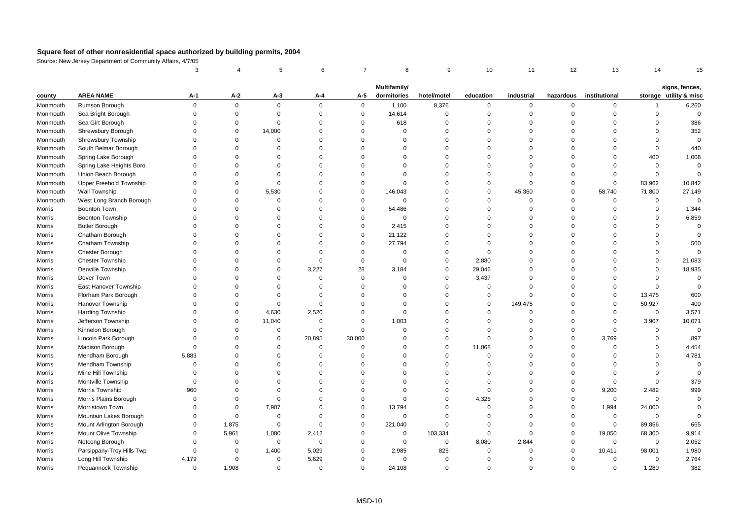|          |                           | 3           |             | 5           | 6           | $\overline{7}$ | 8                           | 9           | 10          | 11          | 12          | 13            | 14          | 15                                       |
|----------|---------------------------|-------------|-------------|-------------|-------------|----------------|-----------------------------|-------------|-------------|-------------|-------------|---------------|-------------|------------------------------------------|
|          |                           |             |             |             |             |                |                             |             |             |             |             |               |             |                                          |
| county   | <b>AREA NAME</b>          | A-1         | $A-2$       | $A-3$       | A-4         | A-5            | Multifamily/<br>dormitories | hotel/motel | education   | industrial  | hazardous   | institutional |             | signs, fences,<br>storage utility & misc |
| Monmouth | Rumson Borough            | $\mathbf 0$ | $\mathbf 0$ | $\mathbf 0$ | $\Omega$    | $\mathbf 0$    | 1,100                       | 8,376       | 0           | $\mathbf 0$ | $\mathbf 0$ | 0             | -1          | 6,260                                    |
| Monmouth | Sea Bright Borough        | $\Omega$    | $\Omega$    | $\mathbf 0$ | $\mathbf 0$ | $\mathbf 0$    | 14,614                      | $\mathsf 0$ | $\Omega$    | $\mathbf 0$ | $\Omega$    | $\Omega$      | $\mathbf 0$ | $\mathbf 0$                              |
| Monmouth | Sea Girt Borough          | $\Omega$    | $\mathbf 0$ | $\mathbf 0$ | $\mathbf 0$ | $\mathbf 0$    | 618                         | $\mathbf 0$ | $\mathbf 0$ | $\mathbf 0$ | $\Omega$    | $\Omega$      | $\mathbf 0$ | 386                                      |
| Monmouth | Shrewsbury Borough        | $\Omega$    | $\Omega$    | 14,000      | $\Omega$    | $\mathbf 0$    | $\Omega$                    | $\Omega$    | $\Omega$    | $\Omega$    | $\Omega$    | $\Omega$      | $\Omega$    | 352                                      |
| Monmouth | Shrewsbury Township       | $\Omega$    | $\Omega$    | $\mathbf 0$ | $\Omega$    | $\Omega$       | $\Omega$                    | $\Omega$    | $\Omega$    | $\Omega$    | $\Omega$    | $\Omega$      | $\Omega$    | $\mathbf 0$                              |
| Monmouth | South Belmar Borough      | $\Omega$    | $\Omega$    | $\Omega$    | $\Omega$    | $\mathbf 0$    | $\Omega$                    | $\Omega$    | $\Omega$    | $\mathbf 0$ | $\Omega$    | $\Omega$      | $\mathbf 0$ | 440                                      |
| Monmouth | Spring Lake Borough       | $\Omega$    | $\Omega$    | $\Omega$    | $\Omega$    | $\Omega$       | $\Omega$                    | $\Omega$    | $\Omega$    | $\Omega$    | $\Omega$    | $\Omega$      | 400         | 1,008                                    |
| Monmouth | Spring Lake Heights Boro  | $\Omega$    | $\Omega$    | $\Omega$    | $\Omega$    | $\mathbf 0$    | $\Omega$                    | $\mathbf 0$ | $\Omega$    | $\Omega$    | $\Omega$    | $\Omega$      | 0           | $\mathbf 0$                              |
| Monmouth | Union Beach Borough       | $\Omega$    | $\Omega$    | $\Omega$    | $\Omega$    | $\mathbf 0$    | $\Omega$                    | $\mathbf 0$ | $\Omega$    | $\Omega$    | $\Omega$    | $\Omega$      | $\mathbf 0$ | $\mathbf 0$                              |
| Monmouth | Upper Freehold Township   | $\Omega$    | $\Omega$    | $\mathbf 0$ | $\Omega$    | $\mathbf 0$    | $\Omega$                    | $\Omega$    | $\Omega$    | $\Omega$    | $\mathbf 0$ | $\mathbf 0$   | 83,962      | 10,842                                   |
| Monmouth | Wall Township             | $\Omega$    | $\Omega$    | 5,530       | $\Omega$    | $\pmb{0}$      | 146,043                     | $\Omega$    | $\Omega$    | 45,360      | $\mathbf 0$ | 58,740        | 71,800      | 27,149                                   |
| Monmouth | West Long Branch Borough  | $\Omega$    | $\Omega$    | $\mathbf 0$ | $\Omega$    | $\mathbf 0$    | $\Omega$                    | $\mathbf 0$ | $\mathbf 0$ | $\mathbf 0$ | $\Omega$    | $\mathbf 0$   | $\mathbf 0$ | $\mathbf 0$                              |
| Morris   | <b>Boonton Town</b>       | $\Omega$    | $\Omega$    | $\Omega$    | $\Omega$    | $\mathbf 0$    | 54,486                      | $\mathbf 0$ | $\Omega$    | $\Omega$    | $\mathbf 0$ | $\Omega$      | 0           | 1,344                                    |
| Morris   | Boonton Township          | $\Omega$    | $\Omega$    | $\Omega$    | $\Omega$    | $\mathbf 0$    | $\Omega$                    | $\Omega$    | $\Omega$    | $\Omega$    | $\Omega$    | $\Omega$      | $\Omega$    | 6,859                                    |
| Morris   | <b>Butler Borough</b>     | $\Omega$    | $\Omega$    | $\Omega$    | $\Omega$    | $\mathbf 0$    | 2,415                       | $\Omega$    | $\Omega$    | $\Omega$    | $\Omega$    | $\Omega$      | $\Omega$    | $\mathbf 0$                              |
| Morris   | Chatham Borough           | $\Omega$    | $\Omega$    | $\Omega$    | $\Omega$    | $\mathbf 0$    | 21,122                      | $\Omega$    | $\Omega$    | $\Omega$    | $\Omega$    | $\Omega$      | $\Omega$    | $\Omega$                                 |
| Morris   | Chatham Township          | $\Omega$    | $\Omega$    | $\Omega$    | $\Omega$    | $\mathbf 0$    | 27,794                      | $\mathbf 0$ | 0           | $\Omega$    | $\Omega$    | $\Omega$      | $\mathbf 0$ | 500                                      |
| Morris   | <b>Chester Borough</b>    | $\Omega$    | $\Omega$    | $\Omega$    | $\Omega$    | $\mathbf 0$    | $\Omega$                    | $\mathbf 0$ | $\mathbf 0$ | $\Omega$    | $\Omega$    | $\Omega$      | $\Omega$    | $\overline{0}$                           |
| Morris   | <b>Chester Township</b>   | $\Omega$    | $\Omega$    | $\mathbf 0$ | $\Omega$    | $\mathbf 0$    | $\Omega$                    | $\mathbf 0$ | 2,880       | $\Omega$    | $\Omega$    | $\Omega$      | $\mathbf 0$ | 21,083                                   |
| Morris   | Denville Township         | $\Omega$    | $\Omega$    | $\Omega$    | 3,227       | 28             | 3,184                       | $\mathbf 0$ | 29,046      | $\Omega$    | $\Omega$    | $\Omega$      | $\Omega$    | 18,935                                   |
| Morris   | Dover Town                | $\Omega$    | $\Omega$    | $\Omega$    | $\Omega$    | $\mathbf 0$    | $\Omega$                    | $\Omega$    | 3,437       | $\Omega$    | $\Omega$    | $\Omega$      | $\mathbf 0$ | $\overline{0}$                           |
| Morris   | East Hanover Township     | $\Omega$    | $\Omega$    | $\mathbf 0$ | $\Omega$    | $\mathbf 0$    | $\Omega$                    | $\mathsf 0$ | 0           | $\mathbf 0$ | $\mathbf 0$ | $\Omega$      | $\mathbf 0$ | $\mathbf 0$                              |
| Morris   | Florham Park Borough      | $\Omega$    | $\Omega$    | $\Omega$    | $\Omega$    | $\mathbf 0$    | $\Omega$                    | $\mathbf 0$ | $\mathbf 0$ | $\Omega$    | $\Omega$    | $\Omega$      | 13,475      | 600                                      |
| Morris   | Hanover Township          | $\Omega$    | $\Omega$    | $\mathbf 0$ | $\Omega$    | $\Omega$       | $\Omega$                    | $\Omega$    | $\Omega$    | 149,475     | $\Omega$    | $\mathbf 0$   | 50,927      | 400                                      |
| Morris   | <b>Harding Township</b>   | $\Omega$    | $\Omega$    | 4,630       | 2,520       | $\mathbf 0$    | $\Omega$                    | $\mathbf 0$ | $\Omega$    | $\Omega$    | $\Omega$    | $\Omega$      | $\mathbf 0$ | 3,571                                    |
| Morris   | Jefferson Township        | $\Omega$    | $\Omega$    | 11,040      | $\Omega$    | $\mathbf 0$    | 1,003                       | $\Omega$    | $\Omega$    | $\Omega$    | $\mathbf 0$ | $\Omega$      | 3,907       | 10,071                                   |
| Morris   | Kinnelon Borough          | $\Omega$    | $\Omega$    | $\mathbf 0$ | $\Omega$    | $\mathbf 0$    | $\Omega$                    | $\mathbf 0$ | $\mathbf 0$ | $\Omega$    | $\Omega$    | $\mathbf 0$   | $\mathbf 0$ | $\overline{0}$                           |
| Morris   | Lincoln Park Borough      | $\Omega$    | $\Omega$    | $\mathbf 0$ | 20,895      | 30,000         | $\Omega$                    | $\mathbf 0$ | $\mathbf 0$ | $\Omega$    | $\mathbf 0$ | 3,769         | $\mathbf 0$ | 897                                      |
| Morris   | Madison Borough           | $\mathbf 0$ | $\Omega$    | $\Omega$    | $\mathbf 0$ | $\mathbf 0$    | $\Omega$                    | $\mathsf 0$ | 11,068      | $\Omega$    | $\Omega$    | $\Omega$      | $\mathbf 0$ | 4,454                                    |
| Morris   | Mendham Borough           | 5,883       | $\Omega$    | $\mathbf 0$ | $\Omega$    | $\mathbf 0$    | $\Omega$                    | $\mathbf 0$ | $\Omega$    | $\Omega$    | $\Omega$    | $\Omega$      | $\mathbf 0$ | 4,781                                    |
| Morris   | Mendham Township          | $\Omega$    | $\Omega$    | $\Omega$    | $\Omega$    | $\Omega$       | $\Omega$                    | $\Omega$    | $\Omega$    | $\Omega$    | $\Omega$    | $\Omega$      | $\Omega$    | $\overline{0}$                           |
| Morris   | Mine Hill Township        | $\Omega$    | $\Omega$    | $\Omega$    | $\Omega$    | $\Omega$       | $\Omega$                    | $\Omega$    | $\Omega$    | $\Omega$    | $\Omega$    | $\Omega$      | $\mathbf 0$ | $\Omega$                                 |
| Morris   | Montville Township        | $\mathbf 0$ | $\Omega$    | $\Omega$    | $\Omega$    | $\mathbf 0$    | $\Omega$                    | $\mathbf 0$ | $\mathbf 0$ | $\Omega$    | $\mathbf 0$ | $\mathbf 0$   | $\mathbf 0$ | 379                                      |
| Morris   | Morris Township           | 960         | $\Omega$    | $\Omega$    | $\mathbf 0$ | $\mathbf 0$    | $\Omega$                    | $\mathsf 0$ | $\mathbf 0$ | $\Omega$    | $\mathbf 0$ | 9,200         | 2,482       | 999                                      |
| Morris   | Morris Plains Borough     | $\Omega$    | $\Omega$    | $\mathbf 0$ | $\Omega$    | $\mathbf 0$    | $\Omega$                    | $\mathbf 0$ | 4,326       | $\Omega$    | $\Omega$    | $\mathbf 0$   | $\mathbf 0$ | $\Omega$                                 |
| Morris   | Morristown Town           | $\Omega$    | $\Omega$    | 7,907       | $\Omega$    | $\mathbf 0$    | 13,794                      | $\mathbf 0$ | $\Omega$    | $\Omega$    | $\Omega$    | 1,994         | 24,000      | $\Omega$                                 |
| Morris   | Mountain Lakes Borough    | $\Omega$    | $\Omega$    | $\mathbf 0$ | $\Omega$    | $\mathbf 0$    | $\mathbf 0$                 | $\mathbf 0$ | $\mathbf 0$ | $\Omega$    | $\Omega$    | $\mathsf 0$   | $\Omega$    | $\Omega$                                 |
| Morris   | Mount Arlington Borough   | $\mathbf 0$ | 1,875       | $\mathbf 0$ | $\Omega$    | $\pmb{0}$      | 221,040                     | $\Omega$    | $\mathbf 0$ | $\mathbf 0$ | $\mathsf 0$ | $\mathsf 0$   | 89,856      | 665                                      |
| Morris   | Mount Olive Township      | $\Omega$    | 5,961       | 1,080       | 2,412       | $\mathbf 0$    | $\Omega$                    | 103,334     | $\mathbf 0$ | $\Omega$    | $\mathbf 0$ | 19,050        | 68,300      | 9,914                                    |
| Morris   | Netcong Borough           | $\Omega$    | $\Omega$    | 0           | 0           | $\mathbf 0$    | $\mathbf 0$                 | 0           | 8,080       | 2,844       | $\mathbf 0$ | 0             | $\mathbf 0$ | 2,052                                    |
| Morris   | Parsippany-Troy Hills Twp | $\mathbf 0$ | $\Omega$    | 1,400       | 5,029       | $\mathbf 0$    | 2,985                       | 825         | $\Omega$    | $\Omega$    | $\Omega$    | 10,411        | 98,001      | 1,980                                    |
| Morris   | Long Hill Township        | 4,179       | $\Omega$    | $\mathbf 0$ | 5,629       | $\Omega$       | $\Omega$                    | $\Omega$    | $\Omega$    | $\Omega$    | $\Omega$    | $\Omega$      | $\mathbf 0$ | 2,764                                    |
| Morris   | Pequannock Township       | $\Omega$    | 1,908       | $\Omega$    | $\Omega$    | $\mathbf 0$    | 24,108                      | $\Omega$    | $\Omega$    | $\Omega$    | $\Omega$    | $\Omega$      | 1,280       | 382                                      |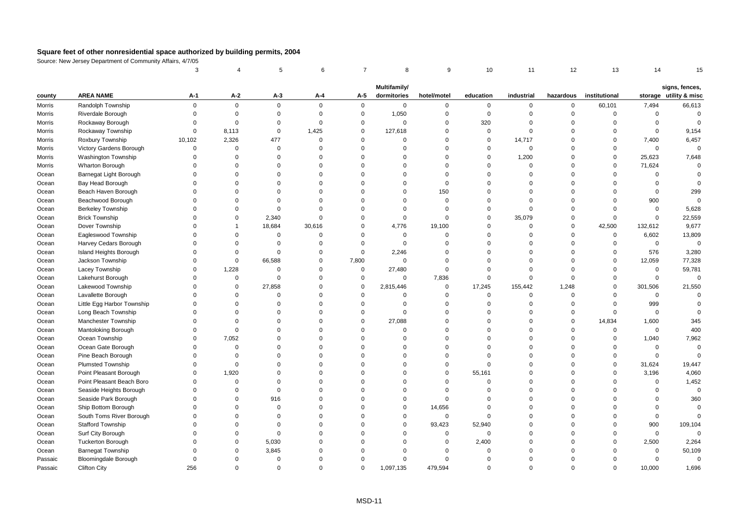|         |                             | 3           |              | 5           | 6           | $\overline{7}$ | 8            | 9           | 10          | 11          | 12          | 13            | 14          | 15                                       |
|---------|-----------------------------|-------------|--------------|-------------|-------------|----------------|--------------|-------------|-------------|-------------|-------------|---------------|-------------|------------------------------------------|
|         |                             |             |              |             |             |                | Multifamily/ |             |             |             |             |               |             |                                          |
| county  | <b>AREA NAME</b>            | А-1         | A-2          | $A-3$       | A-4         | A-5            | dormitories  | hotel/motel | education   | industrial  | hazardous   | institutional |             | signs, fences,<br>storage utility & misc |
| Morris  | Randolph Township           | $\mathsf 0$ | $\mathsf 0$  | $\mathbf 0$ | $\mathbf 0$ | $\mathbf 0$    | $\mathbf 0$  | $\mathsf 0$ | $\mathbf 0$ | $\mathbf 0$ | $\mathsf 0$ | 60,101        | 7,494       | 66,613                                   |
| Morris  | Riverdale Borough           | $\Omega$    | $\mathbf 0$  | $\mathbf 0$ | $\Omega$    | $\mathbf 0$    | 1,050        | $\mathsf 0$ | $\mathbf 0$ | $\mathbf 0$ | $\Omega$    | $\mathbf 0$   | $\mathbf 0$ | $\mathbf 0$                              |
| Morris  | Rockaway Borough            | $\Omega$    | $\Omega$     | 0           | $\Omega$    | $\mathbf 0$    | $\Omega$     | $\mathbf 0$ | 320         | $\mathbf 0$ | $\Omega$    | $\Omega$      | 0           | $\Omega$                                 |
| Morris  | Rockaway Township           | $\Omega$    | 8,113        | $\mathbf 0$ | 1,425       | $\mathbf 0$    | 127,618      | $\mathbf 0$ | $\mathbf 0$ | $\Omega$    | $\Omega$    | $\Omega$      | $\mathbf 0$ | 9,154                                    |
| Morris  | Roxbury Township            | 10,102      | 2,326        | 477         | $\Omega$    | $\mathbf 0$    | $\Omega$     | $\Omega$    | $\mathbf 0$ | 14,717      | $\Omega$    | $\Omega$      | 7,400       | 6,457                                    |
| Morris  | Victory Gardens Borough     | $\mathbf 0$ | $\mathbf 0$  | $\mathbf 0$ | $\Omega$    | $\mathbf 0$    | $\Omega$     | $\Omega$    | $\mathbf 0$ | $\mathbf 0$ | $\Omega$    | $\Omega$      | $\mathbf 0$ | $\mathbf 0$                              |
| Morris  | Washington Township         | $\Omega$    | $\Omega$     | $\Omega$    | $\Omega$    | $\mathbf 0$    | $\Omega$     | $\mathbf 0$ | $\mathsf 0$ | 1,200       | $\Omega$    | $\mathsf 0$   | 25,623      | 7,648                                    |
| Morris  | <b>Wharton Borough</b>      | $\Omega$    | $\Omega$     | $\Omega$    | $\Omega$    | $\mathbf 0$    | $\Omega$     | $\mathbf 0$ | $\Omega$    | $\Omega$    | $\Omega$    | $\Omega$      | 71,624      | $\Omega$                                 |
| Ocean   | Barnegat Light Borough      | $\Omega$    | $\Omega$     | $\Omega$    | $\Omega$    | $\mathbf 0$    | $\Omega$     | $\mathbf 0$ | $\Omega$    | $\Omega$    | $\Omega$    | $\Omega$      | $\mathbf 0$ | $\Omega$                                 |
| Ocean   | Bay Head Borough            | $\Omega$    | $\Omega$     | $\Omega$    | $\Omega$    | $\mathbf 0$    | $\Omega$     | $\mathbf 0$ | $\Omega$    | $\Omega$    | $\Omega$    | $\Omega$      | $\mathbf 0$ | $\Omega$                                 |
| Ocean   | Beach Haven Borough         | $\Omega$    | $\Omega$     | $\Omega$    | $\Omega$    | $\mathbf 0$    | $\Omega$     | 150         | $\Omega$    | $\Omega$    | $\Omega$    | $\Omega$      | $\mathbf 0$ | 299                                      |
| Ocean   | Beachwood Borough           | $\Omega$    | $\Omega$     | $\Omega$    | $\Omega$    | $\mathbf 0$    | $\Omega$     | $\mathbf 0$ | $\Omega$    | $\Omega$    | $\Omega$    | $\Omega$      | 900         | $\mathbf 0$                              |
| Ocean   | <b>Berkeley Township</b>    | $\Omega$    | $\Omega$     | $\mathbf 0$ | $\Omega$    | $\mathbf 0$    | $\Omega$     | $\mathsf 0$ | $\Omega$    | $\mathbf 0$ | $\Omega$    | $\Omega$      | $\mathbf 0$ | 5,628                                    |
| Ocean   | <b>Brick Township</b>       | $\Omega$    | $\Omega$     | 2,340       | $\Omega$    | $\mathbf 0$    | $\mathbf 0$  | $\mathbf 0$ | $\Omega$    | 35,079      | $\Omega$    | $\mathbf 0$   | $\mathbf 0$ | 22,559                                   |
| Ocean   | Dover Township              | $\Omega$    | $\mathbf{1}$ | 18,684      | 30,616      | $\mathbf 0$    | 4,776        | 19,100      | $\Omega$    | $\Omega$    | $\mathbf 0$ | 42,500        | 132,612     | 9,677                                    |
| Ocean   | Eagleswood Township         | $\Omega$    | $\mathbf 0$  | 0           | $\mathbf 0$ | $\mathbf 0$    | 0            | $\mathsf 0$ | $\mathbf 0$ | $\mathbf 0$ | $\mathbf 0$ | $\mathbf 0$   | 6,602       | 13,809                                   |
| Ocean   | Harvey Cedars Borough       | $\Omega$    | $\Omega$     | $\Omega$    | $\Omega$    | $\mathbf 0$    | $\Omega$     | $\Omega$    | $\Omega$    | $\Omega$    | $\Omega$    | $\mathbf 0$   | $\mathbf 0$ | $\mathbf 0$                              |
| Ocean   | Island Heights Borough      | $\Omega$    | $\Omega$     | $\mathbf 0$ | $\Omega$    | $\mathbf 0$    | 2,246        | $\mathbf 0$ | $\Omega$    | $\Omega$    | $\Omega$    | $\Omega$      | 576         | 3,280                                    |
| Ocean   | Jackson Township            | $\mathbf 0$ | $\mathbf 0$  | 66,588      | $\Omega$    | 7,800          | $\Omega$     | $\mathbf 0$ | $\Omega$    | $\Omega$    | $\Omega$    | $\mathbf 0$   | 12,059      | 77,328                                   |
| Ocean   | Lacey Township              | $\Omega$    | 1,228        | $\Omega$    | $\Omega$    | $\mathbf 0$    | 27,480       | $\Omega$    | $\Omega$    | $\Omega$    | $\Omega$    | $\Omega$      | $\mathbf 0$ | 59,781                                   |
| Ocean   | Lakehurst Borough           | $\Omega$    | $\mathsf 0$  | $\mathbf 0$ | $\Omega$    | $\pmb{0}$      | $\mathbf 0$  | 7,836       | 0           | $\Omega$    | $\Omega$    | $\Omega$      | $\mathbf 0$ | $\mathbf 0$                              |
| Ocean   | Lakewood Township           | $\Omega$    | $\Omega$     | 27,858      | $\Omega$    | $\pmb{0}$      | 2,815,446    | $\mathsf 0$ | 17,245      | 155,442     | 1,248       | $\Omega$      | 301,506     | 21,550                                   |
| Ocean   | Lavallette Borough          | $\Omega$    | $\Omega$     | $\Omega$    | $\Omega$    | $\mathbf 0$    | $\Omega$     | $\mathbf 0$ | $\mathbf 0$ | $\mathbf 0$ | $\Omega$    | $\Omega$      | $\mathbf 0$ | $\Omega$                                 |
| Ocean   | Little Egg Harbor Township  | $\Omega$    | $\Omega$     | $\Omega$    | $\Omega$    | $\mathbf 0$    | $\Omega$     | $\mathbf 0$ | $\Omega$    | $\mathbf 0$ | $\Omega$    | $\Omega$      | 999         | $\Omega$                                 |
| Ocean   | Long Beach Township         | $\Omega$    | $\Omega$     | $\Omega$    | $\Omega$    | $\mathbf 0$    | $\Omega$     | $\Omega$    | $\Omega$    | $\Omega$    | $\Omega$    | $\Omega$      | $\mathbf 0$ |                                          |
| Ocean   | Manchester Township         | $\Omega$    | $\Omega$     | $\Omega$    | $\Omega$    | $\mathbf 0$    | 27,088       | $\Omega$    | $\Omega$    | $\Omega$    | $\mathbf 0$ | 14,834        | 1,600       | 345                                      |
| Ocean   | Mantoloking Borough         | $\Omega$    | $\mathbf 0$  | $\mathbf 0$ | $\Omega$    | $\mathbf 0$    | $\Omega$     | $\mathbf 0$ | $\Omega$    | $\Omega$    | $\Omega$    | $\mathsf 0$   | $\mathbf 0$ | 400                                      |
| Ocean   | Ocean Township              | $\Omega$    | 7,052        | $\Omega$    | $\Omega$    | $\Omega$       | $\Omega$     | $\Omega$    | $\Omega$    | $\Omega$    | $\Omega$    | $\Omega$      | 1,040       | 7,962                                    |
| Ocean   | Ocean Gate Borough          | $\Omega$    | $\Omega$     | $\Omega$    | $\Omega$    | $\mathbf 0$    | $\Omega$     | $\Omega$    | $\Omega$    | $\Omega$    | $\Omega$    | $\Omega$      | $\mathbf 0$ | $\mathbf 0$                              |
| Ocean   | Pine Beach Borough          | $\Omega$    | $\Omega$     | $\Omega$    | $\Omega$    | $\Omega$       | $\Omega$     | $\Omega$    | $\Omega$    | $\Omega$    | $\Omega$    | $\Omega$      | $\mathbf 0$ | $\Omega$                                 |
| Ocean   | <b>Plumsted Township</b>    | $\Omega$    | $\Omega$     | $\Omega$    | $\Omega$    | $\mathbf 0$    | $\Omega$     | $\Omega$    | $\Omega$    | $\Omega$    | $\Omega$    | $\Omega$      | 31,624      | 19,447                                   |
| Ocean   | Point Pleasant Borough      | $\Omega$    | 1,920        | $\Omega$    | $\Omega$    | $\mathbf 0$    | $\Omega$     | $\mathbf 0$ | 55,161      | $\Omega$    | $\Omega$    | $\Omega$      | 3,196       | 4,060                                    |
| Ocean   | Point Pleasant Beach Boro   | $\Omega$    | $\Omega$     | $\Omega$    | $\Omega$    | $\mathbf 0$    | $\Omega$     | $\mathsf 0$ | $\Omega$    | $\Omega$    | $\Omega$    | $\Omega$      | $\mathbf 0$ | 1,452                                    |
| Ocean   | Seaside Heights Borough     | $\Omega$    | $\Omega$     | $\Omega$    | $\Omega$    | $\mathbf 0$    | $\Omega$     | $\Omega$    | $\Omega$    | $\Omega$    | $\Omega$    | $\Omega$      | $\mathbf 0$ | $\mathbf 0$                              |
| Ocean   | Seaside Park Borough        | $\Omega$    | $\Omega$     | 916         | $\Omega$    | $\Omega$       | $\Omega$     | $\Omega$    | $\Omega$    | $\Omega$    | $\Omega$    | $\Omega$      | $\Omega$    | 360                                      |
| Ocean   | Ship Bottom Borough         | $\Omega$    | $\Omega$     | $\mathbf 0$ | $\Omega$    | $\mathbf 0$    | $\mathbf 0$  | 14,656      | $\Omega$    | $\Omega$    | $\Omega$    | $\Omega$      | $\mathbf 0$ | $\Omega$                                 |
| Ocean   | South Toms River Borough    | $\Omega$    | $\Omega$     | $\Omega$    | $\Omega$    | $\Omega$       | $\Omega$     | $\mathbf 0$ | $\mathbf 0$ | $\Omega$    | $\Omega$    | $\Omega$      | $\mathbf 0$ | $\Omega$                                 |
| Ocean   | <b>Stafford Township</b>    | $\Omega$    | $\Omega$     | $\Omega$    | $\Omega$    | $\Omega$       | $\Omega$     | 93,423      | 52,940      | $\Omega$    | $\Omega$    | $\Omega$      | 900         | 109,104                                  |
| Ocean   | Surf City Borough           | $\Omega$    | $\Omega$     | $\mathbf 0$ | $\Omega$    | $\mathbf 0$    | $\Omega$     | $\mathsf 0$ | $\mathbf 0$ | $\Omega$    | $\Omega$    | $\Omega$      | $\mathbf 0$ | $\mathbf 0$                              |
| Ocean   | <b>Tuckerton Borough</b>    | $\Omega$    | $\Omega$     | 5,030       | $\Omega$    | $\Omega$       | $\Omega$     | $\mathbf 0$ | 2,400       | $\Omega$    | $\Omega$    | $\Omega$      | 2,500       | 2,264                                    |
| Ocean   | <b>Barnegat Township</b>    | $\Omega$    | $\Omega$     | 3,845       | O           | $\Omega$       | $\Omega$     | $\Omega$    | $\mathbf 0$ | $\mathbf 0$ | $\Omega$    | $\Omega$      | $\mathbf 0$ | 50,109                                   |
| Passaic | <b>Bloomingdale Borough</b> | $\Omega$    | $\Omega$     | $\Omega$    | $\Omega$    | $\mathbf 0$    | $\Omega$     | $\Omega$    | $\mathbf 0$ | $\Omega$    | $\Omega$    | $\Omega$      | $\mathbf 0$ | $\mathbf 0$                              |
| Passaic | <b>Clifton City</b>         | 256         | $\Omega$     | $\Omega$    | $\Omega$    | $\Omega$       | 1,097,135    | 479.594     | $\Omega$    | $\Omega$    | $\Omega$    | $\Omega$      | 10.000      | 1,696                                    |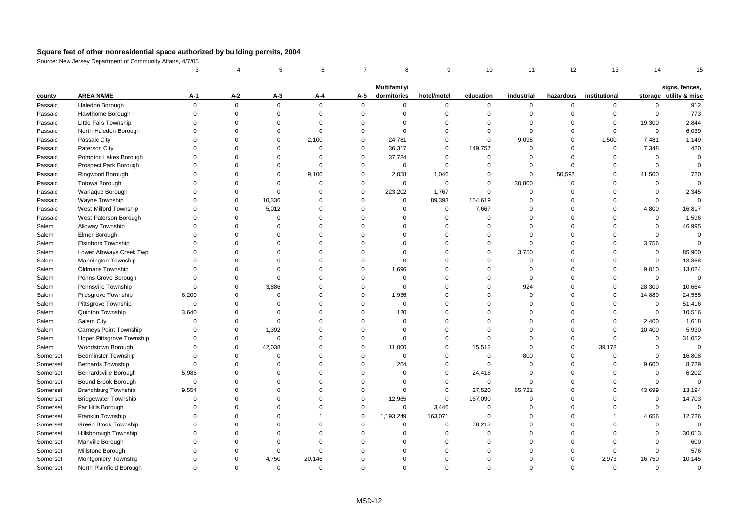|          |                             | 3           |             | 5           | 6           | $\overline{7}$ | 8            | 9           | 10             | 11          | 12        | 13            | 14          | 15                     |
|----------|-----------------------------|-------------|-------------|-------------|-------------|----------------|--------------|-------------|----------------|-------------|-----------|---------------|-------------|------------------------|
|          |                             |             |             |             |             |                | Multifamily/ |             |                |             |           |               |             | signs, fences,         |
| county   | <b>AREA NAME</b>            | A-1         | $A-2$       | A-3         | $A-4$       | A-5            | dormitories  | hotel/motel | education      | industrial  | hazardous | institutional |             | storage utility & misc |
| Passaic  | Haledon Borough             | $\mathbf 0$ | $\mathsf 0$ | $\mathbf 0$ | $\mathbf 0$ | $\mathbf 0$    | $\mathbf 0$  | $\mathbf 0$ | 0              | 0           | $\Omega$  | 0             | 0           | 912                    |
| Passaic  | Hawthorne Borough           | $\Omega$    | $\mathbf 0$ | $\mathbf 0$ | $\mathbf 0$ | $\mathbf 0$    | $\Omega$     | $\mathbf 0$ | $\mathbf 0$    | $\mathbf 0$ | $\Omega$  | $\mathbf 0$   | $\mathbf 0$ | 773                    |
| Passaic  | Little Falls Township       | $\Omega$    | $\Omega$    | $\Omega$    | $\Omega$    | $\mathbf 0$    | $\Omega$     | $\mathbf 0$ | $\Omega$       | $\Omega$    | $\Omega$  | $\mathbf 0$   | 19,300      | 2,844                  |
| Passaic  | North Haledon Borough       | $\Omega$    | $\Omega$    | 0           | $\Omega$    | $\mathbf 0$    | $\Omega$     | $\mathbf 0$ | $\Omega$       | $\Omega$    | $\Omega$  | $\Omega$      | $\mathbf 0$ | 6,039                  |
| Passaic  | Passaic City                | $\Omega$    | $\Omega$    | $\Omega$    | 2,100       | $\mathbf 0$    | 24,781       | $\mathbf 0$ | $\mathsf 0$    | 9,095       | $\Omega$  | 1,500         | 7,481       | 1,149                  |
| Passaic  | Paterson City               | $\Omega$    | $\Omega$    | $\Omega$    | $\mathbf 0$ | $\mathbf{0}$   | 36,317       | $\mathbf 0$ | 149,757        | $\Omega$    | $\Omega$  | $\mathbf 0$   | 7,348       | 420                    |
| Passaic  | Pompton Lakes Borough       | $\Omega$    | $\Omega$    | $\Omega$    | $\Omega$    | $\mathbf 0$    | 37,784       | 0           | $\mathbf 0$    | $\Omega$    | $\Omega$  | $\Omega$      | 0           | $\mathbf 0$            |
| Passaic  | Prospect Park Borough       | $\Omega$    | $\Omega$    | $\Omega$    | $\Omega$    | $\mathbf 0$    | $\mathbf 0$  | $\mathbf 0$ | $\Omega$       | $\Omega$    | $\Omega$  | $\Omega$      | $\Omega$    | $\mathbf 0$            |
| Passaic  | Ringwood Borough            | $\Omega$    | $\Omega$    | $\Omega$    | 9,100       | $\mathsf 0$    | 2,058        | 1,046       | $\mathbf 0$    | $\Omega$    | 50,592    | $\Omega$      | 41,500      | 720                    |
| Passaic  | Totowa Borough              | $\Omega$    | $\Omega$    | $\Omega$    | $\Omega$    | $\mathbf 0$    | $\Omega$     | $\mathbf 0$ | $\mathbf 0$    | 30,800      | $\Omega$  | $\Omega$      | $\mathbf 0$ | $\Omega$               |
| Passaic  | Wanaque Borough             | $\Omega$    | $\mathbf 0$ | $\mathbf 0$ | $\Omega$    | $\mathbf 0$    | 223,202      | 1,767       | $\mathbf 0$    | $\mathbf 0$ | $\Omega$  | $\Omega$      | $\mathbf 0$ | 2,345                  |
| Passaic  | Wayne Township              | $\Omega$    | $\mathbf 0$ | 10,336      | $\mathbf 0$ | $\mathbf 0$    | $\mathbf 0$  | 89,393      | 154,619        | $\Omega$    | $\Omega$  | $\Omega$      | 0           | $\mathbf 0$            |
| Passaic  | West Milford Township       | $\Omega$    | $\Omega$    | 5,012       | $\Omega$    | $\Omega$       | $\Omega$     | $\mathbf 0$ | 7,667          | $\Omega$    | $\Omega$  | $\Omega$      | 4,800       | 16,817                 |
| Passaic  | West Paterson Borough       | $\Omega$    | $\mathbf 0$ | $\Omega$    | $\Omega$    | $\Omega$       | $\Omega$     | $\mathbf 0$ | $\mathbf 0$    | $\Omega$    | $\Omega$  | $\Omega$      | $\Omega$    | 1,596                  |
| Salem    | Alloway Township            | $\Omega$    | $\Omega$    | $\Omega$    | $\Omega$    | $\mathbf 0$    | $\Omega$     | $\mathbf 0$ | $\Omega$       | $\Omega$    | $\Omega$  | $\Omega$      | $\mathbf 0$ | 46,995                 |
| Salem    | Elmer Borough               | $\Omega$    | $\Omega$    | $\Omega$    | $\Omega$    | $\Omega$       | $\Omega$     | $\mathbf 0$ | $\Omega$       | $\Omega$    | $\Omega$  | $\Omega$      | $\mathbf 0$ | $\mathbf 0$            |
| Salem    | Elsinboro Township          | $\Omega$    | $\Omega$    | $\Omega$    | $\Omega$    | $\Omega$       | $\Omega$     | $\mathbf 0$ | $\Omega$       | $\Omega$    | $\Omega$  | $\Omega$      | 3,756       | $\Omega$               |
| Salem    | Lower Alloways Creek Twp    | $\Omega$    | $\Omega$    | $\Omega$    | $\Omega$    | $\Omega$       | $\Omega$     | $\mathbf 0$ | $\mathbf 0$    | 3,750       | $\Omega$  | $\Omega$      | $\mathbf 0$ | 85,900                 |
| Salem    | Mannington Township         | $\Omega$    | $\Omega$    | $\Omega$    | $\Omega$    | $\mathbf 0$    | $\Omega$     | $\mathbf 0$ | $\Omega$       | $\Omega$    | $\Omega$  | $\Omega$      | $\mathbf 0$ | 13,368                 |
| Salem    | <b>Oldmans Township</b>     | $\Omega$    | $\Omega$    | $\Omega$    | $\Omega$    | $\mathbf 0$    | 1,696        | $\Omega$    | $\Omega$       | $\Omega$    | $\Omega$  | $\Omega$      | 9,010       | 13,024                 |
| Salem    | Penns Grove Borough         | $\Omega$    | $\Omega$    | $\mathbf 0$ | $\Omega$    | $\mathbf 0$    | $\Omega$     | $\mathbf 0$ | $\Omega$       | $\Omega$    | $\Omega$  | $\Omega$      | $\mathbf 0$ | $\mathbf 0$            |
| Salem    | Pennsville Township         | $\Omega$    | $\mathbf 0$ | 3,886       | $\mathbf 0$ | $\mathbf 0$    | $\mathbf 0$  | $\mathbf 0$ | $\Omega$       | 924         | $\Omega$  | $\mathbf 0$   | 28,300      | 10,664                 |
| Salem    | Pilesgrove Township         | 6,200       | $\Omega$    | $\Omega$    | $\Omega$    | $\mathbf 0$    | 1,936        | $\mathbf 0$ | $\Omega$       | $\Omega$    | $\Omega$  | $\Omega$      | 14,880      | 24,555                 |
| Salem    | Pittsgrove Township         | $\mathbf 0$ | $\Omega$    | $\Omega$    | $\Omega$    | $\mathbf 0$    | $\mathbf 0$  | $\mathbf 0$ | $\Omega$       | $\Omega$    | $\Omega$  | $\Omega$      | $\mathbf 0$ | 51,416                 |
| Salem    | Quinton Township            | 3,640       | $\Omega$    | $\Omega$    | $\Omega$    | $\mathbf 0$    | 120          | $\mathbf 0$ | $\Omega$       | $\Omega$    | $\Omega$  | $\Omega$      | $\mathbf 0$ | 10,516                 |
| Salem    | Salem City                  | $\Omega$    | $\Omega$    | $\mathbf 0$ | $\Omega$    | $\mathbf 0$    | $\Omega$     | $\Omega$    | $\Omega$       | $\Omega$    | $\Omega$  | $\Omega$      | 2,400       | 1,618                  |
| Salem    | Carneys Point Township      | $\Omega$    | $\mathbf 0$ | 1,392       | $\mathbf 0$ | $\mathbf 0$    | $\Omega$     | $\mathbf 0$ | $\Omega$       | $\Omega$    | $\Omega$  | $\Omega$      | 10,400      | 5,930                  |
| Salem    | Upper Pittsgrove Township   | $\Omega$    | $\mathbf 0$ | 0           | $\Omega$    | $\mathbf 0$    | $\Omega$     | $\mathbf 0$ | $\Omega$       | $\Omega$    | $\Omega$  | $\Omega$      | $\mathbf 0$ | 31,052                 |
| Salem    | Woodstown Borough           | $\Omega$    | $\mathbf 0$ | 42,038      | $\Omega$    | $\mathbf 0$    | 11,000       | $\mathbf 0$ | 15,512         | $\Omega$    | $\Omega$  | 39,178        | $\mathbf 0$ | $\mathbf 0$            |
| Somerset | <b>Bedminster Township</b>  | $\Omega$    | $\Omega$    | 0           | $\Omega$    | $\mathbf 0$    | $\Omega$     | $\mathbf 0$ | $\mathbf 0$    | 800         | $\Omega$  | $\mathbf 0$   | $\mathbf 0$ | 16,808                 |
| Somerset | <b>Bernards Township</b>    | $\mathbf 0$ | $\Omega$    | $\Omega$    | $\Omega$    | $\mathbf 0$    | 264          | 0           | $\mathbf{0}$   | $\Omega$    | $\Omega$  | $\Omega$      | 9,600       | 8,729                  |
| Somerset | Bernardsville Borough       | 5,986       | $\Omega$    | $\Omega$    | $\Omega$    | $\mathbf 0$    | $\Omega$     | $\mathbf 0$ | 24,418         | $\Omega$    | $\Omega$  | $\Omega$      | $\mathbf 0$ | 6,202                  |
| Somerset | Bound Brook Borough         | $\Omega$    | $\Omega$    | $\Omega$    | $\Omega$    | $\mathbf 0$    | $\Omega$     | $\mathbf 0$ | $\mathbf 0$    | $\Omega$    | $\Omega$  | $\Omega$      | $\mathbf 0$ | $\Omega$               |
| Somerset | <b>Branchburg Township</b>  | 9,554       | $\Omega$    | $\Omega$    | $\Omega$    | $\mathbf 0$    | $\Omega$     | $\mathbf 0$ | 27,520         | 65,721      | $\Omega$  | $\Omega$      | 43,699      | 13,194                 |
| Somerset | <b>Bridgewater Township</b> | $\Omega$    | $\Omega$    | $\Omega$    | $\Omega$    | $\mathbf 0$    | 12,965       | $\mathbf 0$ | 167,090        | $\Omega$    | $\Omega$  | $\Omega$      | $\mathbf 0$ | 14,703                 |
| Somerset | Far Hills Borough           | $\Omega$    | $\Omega$    | $\Omega$    | $\Omega$    | $\mathbf 0$    | $\mathbf 0$  | 3,446       | $\mathbf{0}$   | $\Omega$    | $\Omega$  | $\Omega$      | $\mathbf 0$ | $\mathbf 0$            |
| Somerset | Franklin Township           | $\Omega$    | $\Omega$    | $\Omega$    |             | $\mathbf 0$    | 1,193,249    | 163,071     | $\overline{0}$ | $\Omega$    | $\Omega$  | $\mathbf{1}$  | 4,656       | 12,726                 |
| Somerset | Green Brook Township        | $\Omega$    | $\Omega$    | $\Omega$    | $\Omega$    | $\mathbf 0$    | $\mathbf 0$  | $\mathbf 0$ | 78,213         | $\Omega$    | $\Omega$  | $\Omega$      | 0           | $\Omega$               |
| Somerset | Hillsborough Township       | $\Omega$    | $\Omega$    | $\Omega$    | $\Omega$    | $\Omega$       | $\Omega$     | $\mathbf 0$ | $\mathbf 0$    | $\Omega$    | $\Omega$  | $\Omega$      | $\Omega$    | 30,013                 |
| Somerset | Manville Borough            | $\Omega$    | $\Omega$    | $\Omega$    | $\Omega$    | $\Omega$       | $\Omega$     | $\Omega$    | $\Omega$       | $\Omega$    | $\Omega$  | $\Omega$      | $\Omega$    | 600                    |
| Somerset | Millstone Borough           | $\Omega$    | $\Omega$    | 0           | $\Omega$    | $\Omega$       | $\Omega$     | $\Omega$    | $\Omega$       | $\mathbf 0$ | $\Omega$  | $\Omega$      | $\mathbf 0$ | 576                    |
| Somerset | Montgomery Township         | $\Omega$    | $\Omega$    | 4,750       | 20,146      | $\Omega$       | $\Omega$     | $\mathbf 0$ | $\Omega$       | $\Omega$    | $\Omega$  | 2,973         | 16,750      | 10,145                 |
| Somerset | North Plainfield Borough    | $\Omega$    | $\Omega$    | $\Omega$    | $\Omega$    | $\Omega$       | $\Omega$     | $\Omega$    | $\Omega$       | $\Omega$    | $\Omega$  | $\Omega$      | $\Omega$    | $\Omega$               |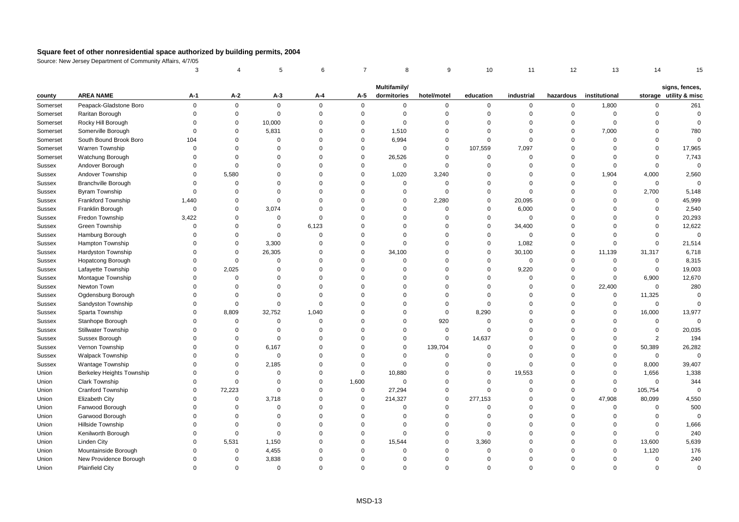|          |                            | 3           |             | 5           | 6           | $\overline{7}$ | 8                           | 9           | 10             | 11           | 12          | 13            | 14             | 15                                       |
|----------|----------------------------|-------------|-------------|-------------|-------------|----------------|-----------------------------|-------------|----------------|--------------|-------------|---------------|----------------|------------------------------------------|
|          |                            |             |             |             |             |                |                             |             |                |              |             |               |                |                                          |
| county   | <b>AREA NAME</b>           | A-1         | $A-2$       | $A-3$       | A-4         | A-5            | Multifamily/<br>dormitories | hotel/motel | education      | industrial   | hazardous   | institutional |                | signs, fences,<br>storage utility & misc |
| Somerset | Peapack-Gladstone Boro     | $\mathbf 0$ | $\mathbf 0$ | $\mathbf 0$ | $\mathsf 0$ | $\mathsf 0$    | $\mathbf 0$                 | 0           | $\mathbf 0$    | $\mathbf 0$  | $\mathbf 0$ | 1,800         | $\mathsf{O}$   | 261                                      |
| Somerset | Raritan Borough            | $\Omega$    | $\mathbf 0$ | $\mathsf 0$ | $\mathbf 0$ | $\mathsf 0$    | $\mathbf 0$                 | 0           | $\mathbf 0$    | $\mathbf 0$  | $\mathsf 0$ | $\mathbf 0$   | $\mathbf 0$    | $\mathbf 0$                              |
| Somerset | Rocky Hill Borough         | $\Omega$    | $\mathbf 0$ | 10,000      | $\Omega$    | $\mathbf 0$    | $\Omega$                    | $\mathbf 0$ | $\Omega$       | $\Omega$     | $\Omega$    | $\mathbf 0$   | $\Omega$       | $\Omega$                                 |
| Somerset | Somerville Borough         | $\Omega$    | $\mathbf 0$ | 5,831       | $\Omega$    | $\mathsf 0$    | 1,510                       | $\Omega$    | $\Omega$       | $\Omega$     | $\Omega$    | 7,000         | $\Omega$       | 780                                      |
| Somerset | South Bound Brook Boro     | 104         | $\mathbf 0$ | $\mathbf 0$ | $\Omega$    | $\mathsf 0$    | 6,994                       | 0           | $\mathbf 0$    | $\mathbf 0$  | $\Omega$    | $\mathbf 0$   | $\Omega$       | $\mathbf 0$                              |
| Somerset | Warren Township            | $\Omega$    | $\Omega$    | $\Omega$    | $\Omega$    | $\mathbf 0$    | $\mathbf 0$                 | $\mathbf 0$ | 107,559        | 7,097        | $\Omega$    | $\mathbf 0$   | $\mathbf{0}$   | 17,965                                   |
| Somerset | Watchung Borough           | $\Omega$    | $\mathbf 0$ | $\Omega$    | $\mathbf 0$ | $\mathsf 0$    | 26,526                      | 0           | $\mathbf 0$    | $\mathbf 0$  | $\mathbf 0$ | $\Omega$      | $\Omega$       | 7,743                                    |
| Sussex   | Andover Borough            | $\Omega$    | $\mathbf 0$ | $\Omega$    | $\Omega$    | $\mathsf 0$    | $\mathsf 0$                 | 0           | $\mathbf 0$    | $\Omega$     | $\mathbf 0$ | $\Omega$      | $\mathbf 0$    | $\mathbf 0$                              |
| Sussex   | Andover Township           | $\Omega$    | 5,580       | $\Omega$    | $\Omega$    | $\Omega$       | 1,020                       | 3,240       | $\Omega$       | $\Omega$     | $\Omega$    | 1,904         | 4,000          | 2,560                                    |
| Sussex   | <b>Branchville Borough</b> | $\Omega$    | $\Omega$    | $\Omega$    | $\Omega$    | $\Omega$       | $\Omega$                    | $\mathbf 0$ | $\mathbf 0$    | $\Omega$     | $\Omega$    | $\mathbf 0$   | $\mathbf{0}$   | $\mathbf 0$                              |
| Sussex   | Byram Township             | $\mathbf 0$ | $\mathsf 0$ | $\Omega$    | $\Omega$    | $\Omega$       | $\Omega$                    | $\mathbf 0$ | $\mathbf 0$    | $\mathbf 0$  | $\mathbf 0$ | $\mathbf 0$   | 2,700          | 5,148                                    |
| Sussex   | <b>Frankford Township</b>  | 1,440       | $\mathbf 0$ | $\mathbf 0$ | $\mathbf 0$ | $\Omega$       | $\Omega$                    | 2,280       | $\mathbf 0$    | 20,095       | $\mathbf 0$ | $\mathbf 0$   | $\mathbf 0$    | 45,999                                   |
| Sussex   | Franklin Borough           | $\mathbf 0$ | $\mathbf 0$ | 3,074       | $\Omega$    | $\Omega$       | $\Omega$                    | $\mathbf 0$ | $\mathbf 0$    | 6,000        | $\Omega$    | $\Omega$      | $\Omega$       | 2,540                                    |
| Sussex   | Fredon Township            | 3,422       | $\Omega$    | $\mathbf 0$ | $\Omega$    | $\Omega$       | $\Omega$                    | $\Omega$    | $\mathbf 0$    | $\mathbf 0$  | $\Omega$    | $\Omega$      | $\Omega$       | 20,293                                   |
| Sussex   | Green Township             | $\Omega$    | $\mathbf 0$ | $\mathbf 0$ | 6,123       | $\Omega$       | $\Omega$                    | $\Omega$    | $\mathbf 0$    | 34,400       | $\Omega$    | $\Omega$      | $\Omega$       | 12,622                                   |
| Sussex   | Hamburg Borough            | $\Omega$    | $\Omega$    | $\mathbf 0$ | $\Omega$    | $\mathbf 0$    | $\Omega$                    | $\mathbf 0$ | $\mathbf 0$    | $\mathbf 0$  | $\Omega$    | $\mathbf 0$   | $\Omega$       | $\mathbf 0$                              |
| Sussex   | Hampton Township           | $\Omega$    | $\mathbf 0$ | 3,300       | $\mathbf 0$ | $\Omega$       | $\Omega$                    | 0           | $\mathbf 0$    | 1,082        | $\mathbf 0$ | $\Omega$      | $\mathbf 0$    | 21,514                                   |
| Sussex   | Hardyston Township         | $\Omega$    | $\mathsf 0$ | 26,305      | $\mathbf 0$ | $\mathsf 0$    | 34,100                      | 0           | $\mathbf 0$    | 30,100       | $\mathbf 0$ | 11,139        | 31,317         | 6,718                                    |
| Sussex   | Hopatcong Borough          | $\Omega$    | $\mathsf 0$ | $\Omega$    | $\Omega$    | $\Omega$       | $\Omega$                    | 0           | $\mathbf 0$    | $\mathbf 0$  | $\Omega$    | $\mathbf 0$   | $\mathsf 0$    | 8,315                                    |
| Sussex   | Lafayette Township         | $\Omega$    | 2,025       | $\Omega$    | $\Omega$    | $\Omega$       | $\Omega$                    | $\Omega$    | $\overline{0}$ | 9,220        | $\Omega$    | $\Omega$      | $\mathsf 0$    | 19,003                                   |
| Sussex   | Montague Township          | $\Omega$    | $\mathbf 0$ | $\Omega$    | $\Omega$    | $\Omega$       | $\Omega$                    | $\mathbf 0$ | $\mathbf 0$    | $\mathbf 0$  | 0           | $\mathbf 0$   | 6,900          | 12,670                                   |
| Sussex   | Newton Town                | $\Omega$    | $\mathsf 0$ | $\Omega$    | $\mathbf 0$ | $\Omega$       | $\Omega$                    | 0           | $\mathbf 0$    | $\mathbf 0$  | $\mathbf 0$ | 22,400        | $\mathbf 0$    | 280                                      |
| Sussex   | Ogdensburg Borough         | $\Omega$    | $\mathbf 0$ | $\Omega$    | $\Omega$    | $\Omega$       | $\Omega$                    | $\mathbf 0$ | $\Omega$       | $\Omega$     | $\mathbf 0$ | 0             | 11,325         | $\Omega$                                 |
| Sussex   | Sandyston Township         | $\Omega$    | $\mathsf 0$ | $\mathbf 0$ | $\Omega$    | $\Omega$       | $\Omega$                    | $\mathbf 0$ | $\overline{0}$ | $\Omega$     | $\Omega$    | $\mathbf 0$   | $\mathbf 0$    | $\mathbf 0$                              |
| Sussex   | Sparta Township            | $\Omega$    | 8,809       | 32,752      | 1,040       | $\Omega$       | $\Omega$                    | $\Omega$    | 8,290          | $\Omega$     | $\Omega$    | $\mathbf 0$   | 16,000         | 13,977                                   |
| Sussex   | Stanhope Borough           | $\Omega$    | $\mathsf 0$ | $\mathbf 0$ | $\Omega$    | $\Omega$       | $\Omega$                    | 920         | $\overline{0}$ | $\Omega$     | $\Omega$    | $\mathbf 0$   | $\mathbf 0$    | $\Omega$                                 |
| Sussex   | <b>Stillwater Township</b> | $\Omega$    | $\Omega$    | $\mathbf 0$ | $\Omega$    | $\Omega$       | $\Omega$                    | 0           | $\mathbf 0$    | $\Omega$     | $\Omega$    | $\mathbf 0$   | $\mathbf 0$    | 20,035                                   |
| Sussex   | Sussex Borough             | $\Omega$    | $\mathbf 0$ | $\Omega$    | $\mathbf 0$ | $\Omega$       | $\Omega$                    | 0           | 14,637         | $\Omega$     | $\mathbf 0$ | $\mathbf 0$   | $\overline{2}$ | 194                                      |
| Sussex   | Vernon Township            | $\Omega$    | $\mathbf 0$ | 6,167       | $\mathbf 0$ | $\mathbf 0$    | $\Omega$                    | 139,704     | $\mathbf 0$    | $\mathbf 0$  | $\Omega$    | $\mathbf 0$   | 50,389         | 26,282                                   |
| Sussex   | <b>Walpack Township</b>    | $\Omega$    | $\Omega$    | $\Omega$    | $\Omega$    | $\Omega$       | $\Omega$                    | $\Omega$    | $\Omega$       | $\Omega$     | $\Omega$    | $\Omega$      | $\mathsf 0$    | $\mathbf 0$                              |
| Sussex   | Wantage Township           | $\Omega$    | $\mathbf 0$ | 2,185       | $\Omega$    | $\mathbf 0$    | $\mathbf 0$                 | $\mathbf 0$ | $\mathbf 0$    | $\mathbf{0}$ | $\Omega$    | 0             | 8,000          | 39,407                                   |
| Union    | Berkeley Heights Township  | $\Omega$    | $\mathbf 0$ | $\mathbf 0$ | $\mathbf 0$ | $\mathsf 0$    | 10,880                      | 0           | $\mathbf 0$    | 19,553       | $\mathbf 0$ | $\mathbf 0$   | 1,656          | 1,338                                    |
| Union    | <b>Clark Township</b>      | $\Omega$    | $\Omega$    | $\Omega$    | $\Omega$    | 1,600          | $\Omega$                    | $\mathbf 0$ | $\overline{0}$ | $\mathbf{0}$ | $\mathbf 0$ | $\mathbf 0$   | $\mathbf 0$    | 344                                      |
| Union    | <b>Cranford Township</b>   | $\Omega$    | 72,223      | $\Omega$    | $\Omega$    | $\mathsf 0$    | 27,294                      | $\mathbf 0$ | $\overline{0}$ | $\Omega$     | $\Omega$    | $\mathbf 0$   | 105,754        | $\mathbf 0$                              |
| Union    | Elizabeth City             | $\Omega$    | $\mathsf 0$ | 3,718       | $\Omega$    | $\mathbf 0$    | 214,327                     | $\mathbf 0$ | 277,153        | $\Omega$     | $\Omega$    | 47,908        | 80,099         | 4,550                                    |
| Union    | Fanwood Borough            | $\Omega$    | $\Omega$    | $\mathbf 0$ | $\Omega$    | $\mathbf 0$    | $\Omega$                    | $\mathbf 0$ | $\Omega$       | $\Omega$     | $\Omega$    | $\mathbf 0$   | $\mathbf 0$    | 500                                      |
| Union    | Garwood Borough            | $\Omega$    | $\Omega$    | $\Omega$    | $\Omega$    | $\mathbf 0$    | $\Omega$                    | $\mathbf 0$ | $\Omega$       | $\Omega$     | $\Omega$    | $\Omega$      | $\mathbf 0$    | $\mathbf 0$                              |
| Union    | Hillside Township          | $\Omega$    | $\mathbf 0$ | $\Omega$    | $\mathbf 0$ | $\Omega$       | $\mathbf 0$                 | 0           | $\mathbf 0$    | $\Omega$     | $\mathbf 0$ | $\Omega$      | $\mathbf 0$    | 1,666                                    |
| Union    | Kenilworth Borough         | $\Omega$    | $\mathsf 0$ | $\mathbf 0$ | $\mathbf 0$ | $\mathsf 0$    | $\Omega$                    | 0           | $\overline{0}$ | $\mathbf 0$  | $\mathbf 0$ | $\mathbf 0$   | $\mathbf 0$    | 240                                      |
| Union    | <b>Linden City</b>         | $\Omega$    | 5,531       | 1,150       | $\Omega$    | $\mathbf 0$    | 15,544                      | $\mathbf 0$ | 3,360          | $\Omega$     | $\Omega$    | $\mathbf 0$   | 13,600         | 5,639                                    |
| Union    | Mountainside Borough       | $\Omega$    | $\mathbf 0$ | 4,455       | $\Omega$    | $\Omega$       | $\Omega$                    | $\Omega$    | $\overline{0}$ | $\Omega$     | $\Omega$    | $\mathbf 0$   | 1,120          | 176                                      |
| Union    | New Providence Borough     | $\Omega$    | $\mathbf 0$ | 3,838       | $\Omega$    | $\Omega$       | $\Omega$                    | $\mathbf 0$ | $\mathbf 0$    | $\Omega$     | $\Omega$    | $\mathbf 0$   | $\mathbf 0$    | 240                                      |
| Union    | <b>Plainfield City</b>     | $\Omega$    | $\Omega$    | $\Omega$    | $\Omega$    | $\Omega$       | $\Omega$                    | $\Omega$    | $\Omega$       | $\Omega$     | $\Omega$    | $\Omega$      | $\Omega$       | $\Omega$                                 |